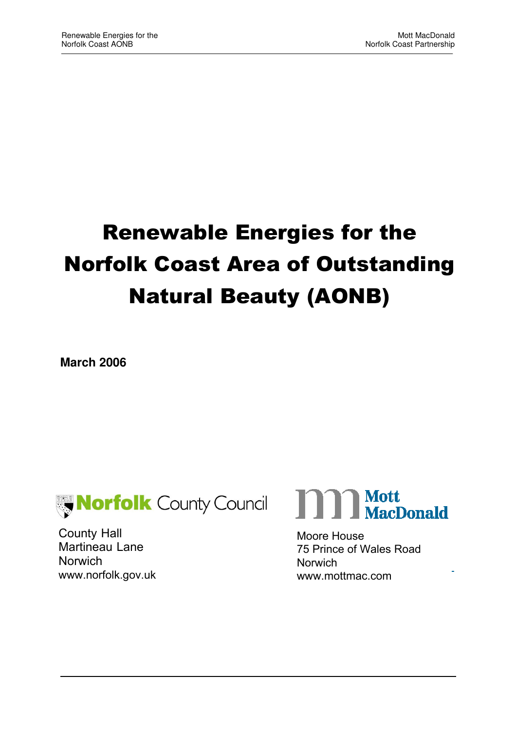# Renewable Energies for the Norfolk Coast Area of Outstanding Natural Beauty (AONB)

**March 2006** 



County Hall Martineau Lane **Norwich** www.norfolk.gov.uk



Moore House 75 Prince of Wales Road **Norwich** www.mottmac.com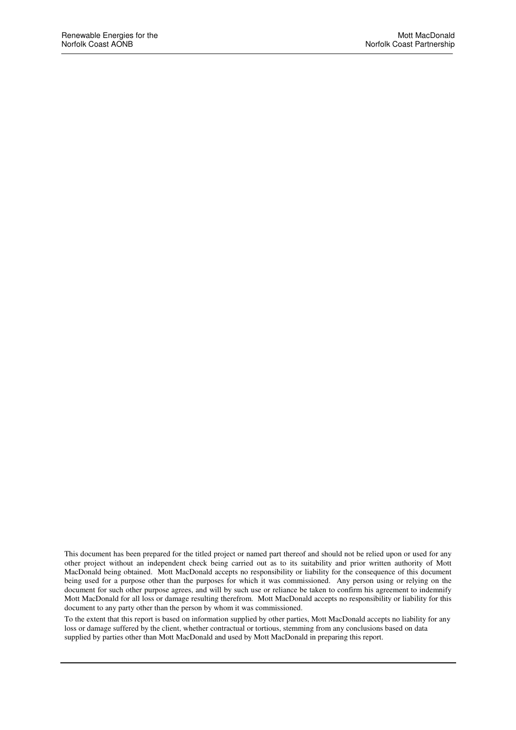This document has been prepared for the titled project or named part thereof and should not be relied upon or used for any other project without an independent check being carried out as to its suitability and prior written authority of Mott MacDonald being obtained. Mott MacDonald accepts no responsibility or liability for the consequence of this document being used for a purpose other than the purposes for which it was commissioned. Any person using or relying on the document for such other purpose agrees, and will by such use or reliance be taken to confirm his agreement to indemnify Mott MacDonald for all loss or damage resulting therefrom. Mott MacDonald accepts no responsibility or liability for this document to any party other than the person by whom it was commissioned.

To the extent that this report is based on information supplied by other parties, Mott MacDonald accepts no liability for any loss or damage suffered by the client, whether contractual or tortious, stemming from any conclusions based on data supplied by parties other than Mott MacDonald and used by Mott MacDonald in preparing this report.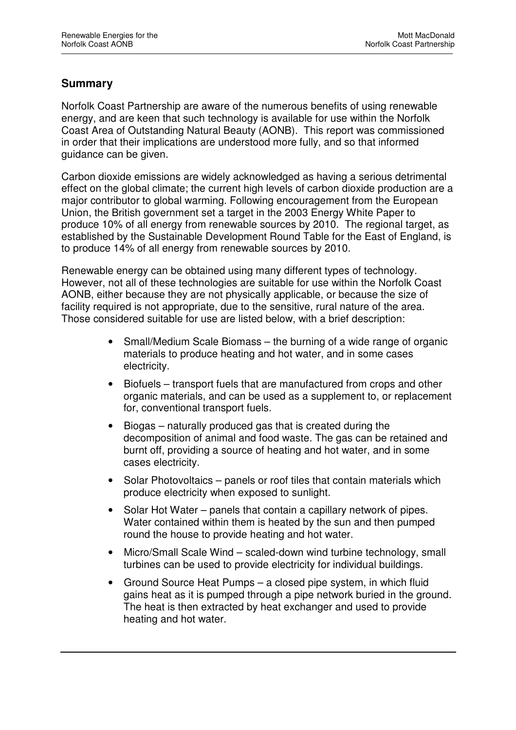## **Summary**

Norfolk Coast Partnership are aware of the numerous benefits of using renewable energy, and are keen that such technology is available for use within the Norfolk Coast Area of Outstanding Natural Beauty (AONB). This report was commissioned in order that their implications are understood more fully, and so that informed guidance can be given.

Carbon dioxide emissions are widely acknowledged as having a serious detrimental effect on the global climate; the current high levels of carbon dioxide production are a major contributor to global warming. Following encouragement from the European Union, the British government set a target in the 2003 Energy White Paper to produce 10% of all energy from renewable sources by 2010. The regional target, as established by the Sustainable Development Round Table for the East of England, is to produce 14% of all energy from renewable sources by 2010.

Renewable energy can be obtained using many different types of technology. However, not all of these technologies are suitable for use within the Norfolk Coast AONB, either because they are not physically applicable, or because the size of facility required is not appropriate, due to the sensitive, rural nature of the area. Those considered suitable for use are listed below, with a brief description:

- Small/Medium Scale Biomass the burning of a wide range of organic materials to produce heating and hot water, and in some cases electricity.
- Biofuels transport fuels that are manufactured from crops and other organic materials, and can be used as a supplement to, or replacement for, conventional transport fuels.
- Biogas naturally produced gas that is created during the decomposition of animal and food waste. The gas can be retained and burnt off, providing a source of heating and hot water, and in some cases electricity.
- Solar Photovoltaics panels or roof tiles that contain materials which produce electricity when exposed to sunlight.
- Solar Hot Water panels that contain a capillary network of pipes. Water contained within them is heated by the sun and then pumped round the house to provide heating and hot water.
- Micro/Small Scale Wind scaled-down wind turbine technology, small turbines can be used to provide electricity for individual buildings.
- Ground Source Heat Pumps a closed pipe system, in which fluid gains heat as it is pumped through a pipe network buried in the ground. The heat is then extracted by heat exchanger and used to provide heating and hot water.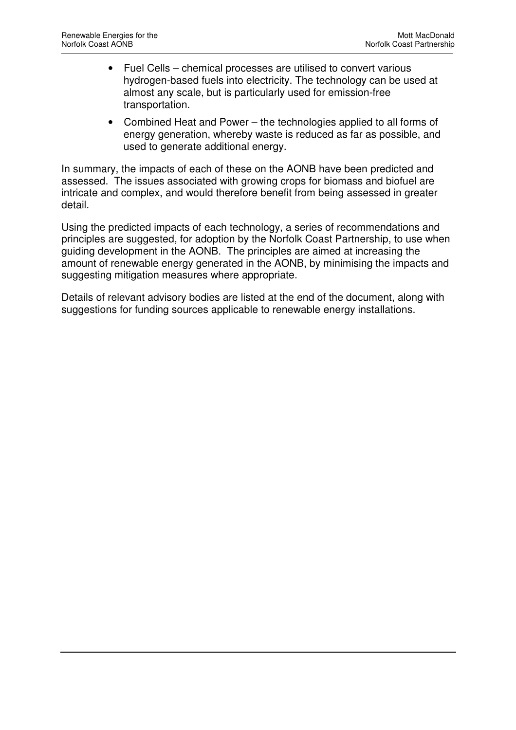- Fuel Cells chemical processes are utilised to convert various hydrogen-based fuels into electricity. The technology can be used at almost any scale, but is particularly used for emission-free transportation.
- Combined Heat and Power the technologies applied to all forms of energy generation, whereby waste is reduced as far as possible, and used to generate additional energy.

In summary, the impacts of each of these on the AONB have been predicted and assessed. The issues associated with growing crops for biomass and biofuel are intricate and complex, and would therefore benefit from being assessed in greater detail.

Using the predicted impacts of each technology, a series of recommendations and principles are suggested, for adoption by the Norfolk Coast Partnership, to use when guiding development in the AONB. The principles are aimed at increasing the amount of renewable energy generated in the AONB, by minimising the impacts and suggesting mitigation measures where appropriate.

Details of relevant advisory bodies are listed at the end of the document, along with suggestions for funding sources applicable to renewable energy installations.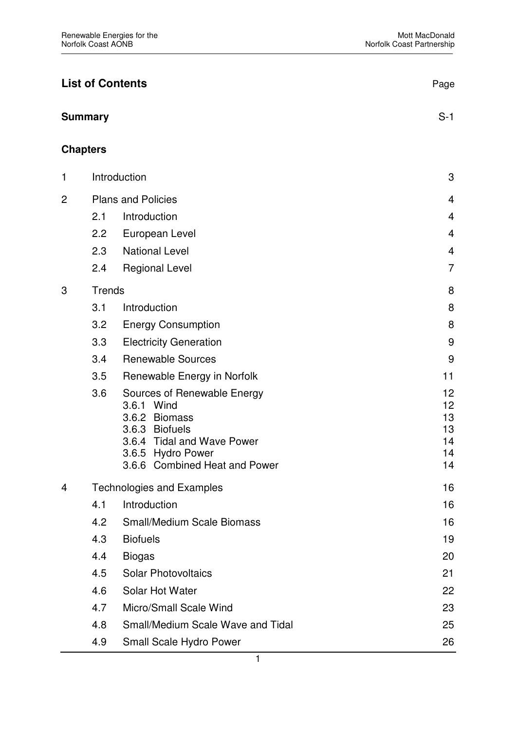| <b>List of Contents</b> |                 | Page                                                                                                                                                             |                                        |
|-------------------------|-----------------|------------------------------------------------------------------------------------------------------------------------------------------------------------------|----------------------------------------|
|                         | <b>Summary</b>  |                                                                                                                                                                  | $S-1$                                  |
|                         | <b>Chapters</b> |                                                                                                                                                                  |                                        |
| 1                       | Introduction    |                                                                                                                                                                  | 3                                      |
| $\overline{c}$          |                 | <b>Plans and Policies</b>                                                                                                                                        | 4                                      |
|                         | 2.1             | Introduction                                                                                                                                                     | $\overline{4}$                         |
|                         | 2.2             | European Level                                                                                                                                                   | $\overline{4}$                         |
|                         | 2.3             | <b>National Level</b>                                                                                                                                            | 4                                      |
|                         | 2.4             | <b>Regional Level</b>                                                                                                                                            | $\overline{7}$                         |
| 3                       | <b>Trends</b>   |                                                                                                                                                                  | 8                                      |
|                         | 3.1             | Introduction                                                                                                                                                     | 8                                      |
|                         | 3.2             | <b>Energy Consumption</b>                                                                                                                                        | 8                                      |
|                         | 3.3             | <b>Electricity Generation</b>                                                                                                                                    | 9                                      |
|                         | 3.4             | <b>Renewable Sources</b>                                                                                                                                         | 9                                      |
|                         | 3.5             | Renewable Energy in Norfolk                                                                                                                                      | 11                                     |
|                         | 3.6             | Sources of Renewable Energy<br>3.6.1 Wind<br>3.6.2 Biomass<br>3.6.3 Biofuels<br>3.6.4 Tidal and Wave Power<br>3.6.5 Hydro Power<br>3.6.6 Combined Heat and Power | 12<br>12<br>13<br>13<br>14<br>14<br>14 |
| 4                       |                 | <b>Technologies and Examples</b>                                                                                                                                 | 16                                     |
|                         | 4.1             | Introduction                                                                                                                                                     | 16                                     |
|                         | 4.2             | <b>Small/Medium Scale Biomass</b>                                                                                                                                | 16                                     |
|                         | 4.3             | <b>Biofuels</b>                                                                                                                                                  | 19                                     |
|                         | 4.4             | <b>Biogas</b>                                                                                                                                                    | 20                                     |
|                         | 4.5             | <b>Solar Photovoltaics</b>                                                                                                                                       | 21                                     |
|                         | 4.6             | Solar Hot Water                                                                                                                                                  | 22                                     |
|                         | 4.7             | Micro/Small Scale Wind                                                                                                                                           | 23                                     |
|                         | 4.8             | Small/Medium Scale Wave and Tidal                                                                                                                                | 25                                     |
|                         | 4.9             | Small Scale Hydro Power                                                                                                                                          | 26                                     |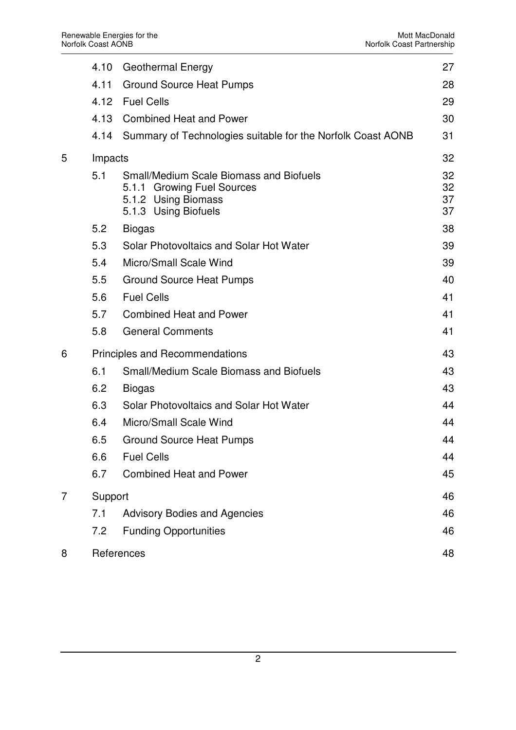|   | 4.10    | <b>Geothermal Energy</b>                                                                                                    | 27                   |
|---|---------|-----------------------------------------------------------------------------------------------------------------------------|----------------------|
|   | 4.11    | <b>Ground Source Heat Pumps</b>                                                                                             | 28                   |
|   | 4.12    | <b>Fuel Cells</b>                                                                                                           | 29                   |
|   | 4.13    | <b>Combined Heat and Power</b>                                                                                              | 30                   |
|   | 4.14    | Summary of Technologies suitable for the Norfolk Coast AONB                                                                 | 31                   |
| 5 | Impacts |                                                                                                                             | 32                   |
|   | 5.1     | <b>Small/Medium Scale Biomass and Biofuels</b><br>5.1.1 Growing Fuel Sources<br>5.1.2 Using Biomass<br>5.1.3 Using Biofuels | 32<br>32<br>37<br>37 |
|   | 5.2     | <b>Biogas</b>                                                                                                               | 38                   |
|   | 5.3     | Solar Photovoltaics and Solar Hot Water                                                                                     | 39                   |
|   | 5.4     | Micro/Small Scale Wind                                                                                                      | 39                   |
|   | 5.5     | <b>Ground Source Heat Pumps</b>                                                                                             | 40                   |
|   | 5.6     | <b>Fuel Cells</b>                                                                                                           | 41                   |
|   | 5.7     | <b>Combined Heat and Power</b>                                                                                              | 41                   |
|   | 5.8     | <b>General Comments</b>                                                                                                     | 41                   |
| 6 |         | <b>Principles and Recommendations</b>                                                                                       | 43                   |
|   | 6.1     | <b>Small/Medium Scale Biomass and Biofuels</b>                                                                              | 43                   |
|   | 6.2     | <b>Biogas</b>                                                                                                               | 43                   |
|   | 6.3     | Solar Photovoltaics and Solar Hot Water                                                                                     | 44                   |
|   | 6.4     | Micro/Small Scale Wind                                                                                                      | 44                   |
|   | 6.5     | <b>Ground Source Heat Pumps</b>                                                                                             | 44                   |
|   | 6.6     | <b>Fuel Cells</b>                                                                                                           | 44                   |
|   | 6.7     | <b>Combined Heat and Power</b>                                                                                              | 45                   |
| 7 | Support |                                                                                                                             | 46                   |
|   | 7.1     | <b>Advisory Bodies and Agencies</b>                                                                                         | 46                   |
|   | 7.2     | <b>Funding Opportunities</b>                                                                                                | 46                   |
| 8 |         | References                                                                                                                  | 48                   |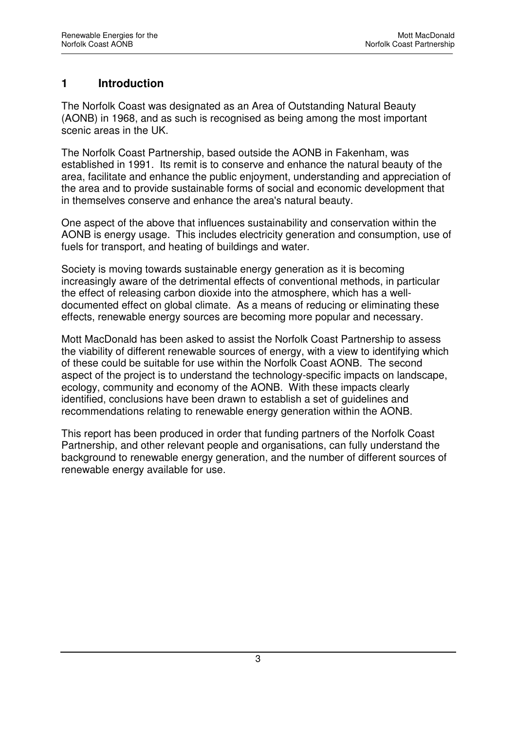## **1 Introduction**

The Norfolk Coast was designated as an Area of Outstanding Natural Beauty (AONB) in 1968, and as such is recognised as being among the most important scenic areas in the UK.

The Norfolk Coast Partnership, based outside the AONB in Fakenham, was established in 1991. Its remit is to conserve and enhance the natural beauty of the area, facilitate and enhance the public enjoyment, understanding and appreciation of the area and to provide sustainable forms of social and economic development that in themselves conserve and enhance the area's natural beauty.

One aspect of the above that influences sustainability and conservation within the AONB is energy usage. This includes electricity generation and consumption, use of fuels for transport, and heating of buildings and water.

Society is moving towards sustainable energy generation as it is becoming increasingly aware of the detrimental effects of conventional methods, in particular the effect of releasing carbon dioxide into the atmosphere, which has a welldocumented effect on global climate. As a means of reducing or eliminating these effects, renewable energy sources are becoming more popular and necessary.

Mott MacDonald has been asked to assist the Norfolk Coast Partnership to assess the viability of different renewable sources of energy, with a view to identifying which of these could be suitable for use within the Norfolk Coast AONB. The second aspect of the project is to understand the technology-specific impacts on landscape, ecology, community and economy of the AONB. With these impacts clearly identified, conclusions have been drawn to establish a set of guidelines and recommendations relating to renewable energy generation within the AONB.

This report has been produced in order that funding partners of the Norfolk Coast Partnership, and other relevant people and organisations, can fully understand the background to renewable energy generation, and the number of different sources of renewable energy available for use.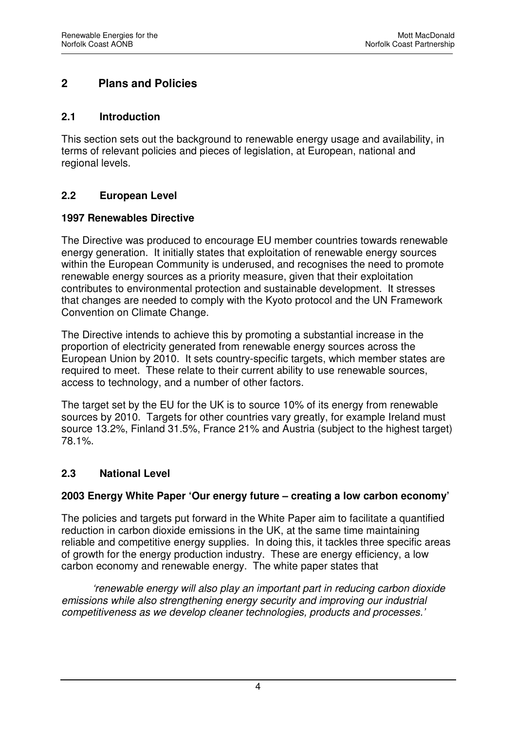# **2 Plans and Policies**

#### **2.1 Introduction**

This section sets out the background to renewable energy usage and availability, in terms of relevant policies and pieces of legislation, at European, national and regional levels.

## **2.2 European Level**

#### **1997 Renewables Directive**

The Directive was produced to encourage EU member countries towards renewable energy generation. It initially states that exploitation of renewable energy sources within the European Community is underused, and recognises the need to promote renewable energy sources as a priority measure, given that their exploitation contributes to environmental protection and sustainable development. It stresses that changes are needed to comply with the Kyoto protocol and the UN Framework Convention on Climate Change.

The Directive intends to achieve this by promoting a substantial increase in the proportion of electricity generated from renewable energy sources across the European Union by 2010. It sets country-specific targets, which member states are required to meet. These relate to their current ability to use renewable sources, access to technology, and a number of other factors.

The target set by the EU for the UK is to source 10% of its energy from renewable sources by 2010. Targets for other countries vary greatly, for example Ireland must source 13.2%, Finland 31.5%, France 21% and Austria (subject to the highest target) 78.1%.

## **2.3 National Level**

#### **2003 Energy White Paper 'Our energy future – creating a low carbon economy'**

The policies and targets put forward in the White Paper aim to facilitate a quantified reduction in carbon dioxide emissions in the UK, at the same time maintaining reliable and competitive energy supplies. In doing this, it tackles three specific areas of growth for the energy production industry. These are energy efficiency, a low carbon economy and renewable energy. The white paper states that

*'renewable energy will also play an important part in reducing carbon dioxide emissions while also strengthening energy security and improving our industrial competitiveness as we develop cleaner technologies, products and processes.'*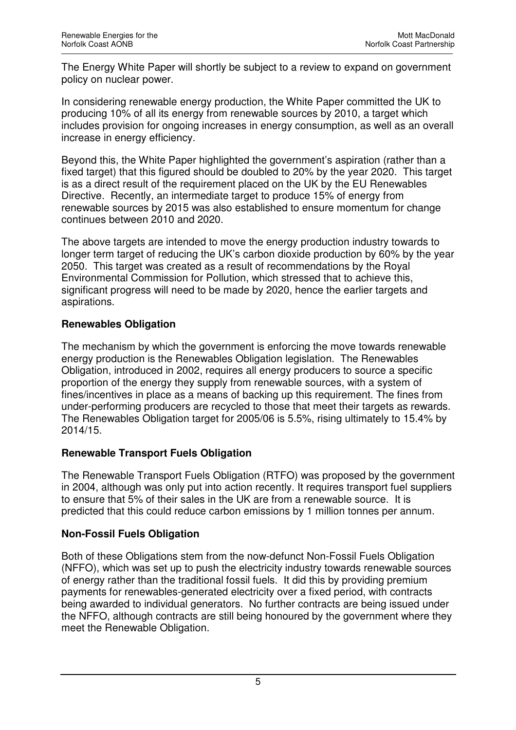The Energy White Paper will shortly be subject to a review to expand on government policy on nuclear power.

In considering renewable energy production, the White Paper committed the UK to producing 10% of all its energy from renewable sources by 2010, a target which includes provision for ongoing increases in energy consumption, as well as an overall increase in energy efficiency.

Beyond this, the White Paper highlighted the government's aspiration (rather than a fixed target) that this figured should be doubled to 20% by the year 2020. This target is as a direct result of the requirement placed on the UK by the EU Renewables Directive. Recently, an intermediate target to produce 15% of energy from renewable sources by 2015 was also established to ensure momentum for change continues between 2010 and 2020.

The above targets are intended to move the energy production industry towards to longer term target of reducing the UK's carbon dioxide production by 60% by the year 2050. This target was created as a result of recommendations by the Royal Environmental Commission for Pollution, which stressed that to achieve this, significant progress will need to be made by 2020, hence the earlier targets and aspirations.

## **Renewables Obligation**

The mechanism by which the government is enforcing the move towards renewable energy production is the Renewables Obligation legislation. The Renewables Obligation, introduced in 2002, requires all energy producers to source a specific proportion of the energy they supply from renewable sources, with a system of fines/incentives in place as a means of backing up this requirement. The fines from under-performing producers are recycled to those that meet their targets as rewards. The Renewables Obligation target for 2005/06 is 5.5%, rising ultimately to 15.4% by 2014/15.

# **Renewable Transport Fuels Obligation**

The Renewable Transport Fuels Obligation (RTFO) was proposed by the government in 2004, although was only put into action recently. It requires transport fuel suppliers to ensure that 5% of their sales in the UK are from a renewable source. It is predicted that this could reduce carbon emissions by 1 million tonnes per annum.

# **Non-Fossil Fuels Obligation**

Both of these Obligations stem from the now-defunct Non-Fossil Fuels Obligation (NFFO), which was set up to push the electricity industry towards renewable sources of energy rather than the traditional fossil fuels. It did this by providing premium payments for renewables-generated electricity over a fixed period, with contracts being awarded to individual generators. No further contracts are being issued under the NFFO, although contracts are still being honoured by the government where they meet the Renewable Obligation.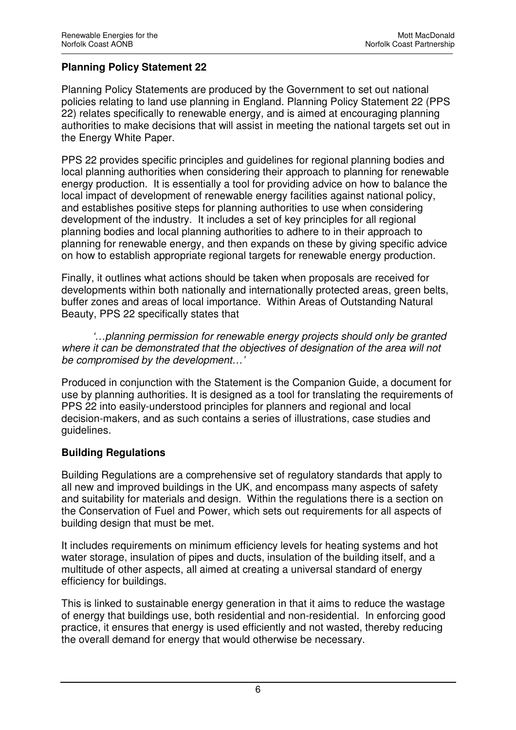## **Planning Policy Statement 22**

Planning Policy Statements are produced by the Government to set out national policies relating to land use planning in England. Planning Policy Statement 22 (PPS 22) relates specifically to renewable energy, and is aimed at encouraging planning authorities to make decisions that will assist in meeting the national targets set out in the Energy White Paper.

PPS 22 provides specific principles and guidelines for regional planning bodies and local planning authorities when considering their approach to planning for renewable energy production. It is essentially a tool for providing advice on how to balance the local impact of development of renewable energy facilities against national policy, and establishes positive steps for planning authorities to use when considering development of the industry. It includes a set of key principles for all regional planning bodies and local planning authorities to adhere to in their approach to planning for renewable energy, and then expands on these by giving specific advice on how to establish appropriate regional targets for renewable energy production.

Finally, it outlines what actions should be taken when proposals are received for developments within both nationally and internationally protected areas, green belts, buffer zones and areas of local importance. Within Areas of Outstanding Natural Beauty, PPS 22 specifically states that

*'…planning permission for renewable energy projects should only be granted where it can be demonstrated that the objectives of designation of the area will not be compromised by the development…'* 

Produced in conjunction with the Statement is the Companion Guide, a document for use by planning authorities. It is designed as a tool for translating the requirements of PPS 22 into easily-understood principles for planners and regional and local decision-makers, and as such contains a series of illustrations, case studies and guidelines.

## **Building Regulations**

Building Regulations are a comprehensive set of regulatory standards that apply to all new and improved buildings in the UK, and encompass many aspects of safety and suitability for materials and design. Within the regulations there is a section on the Conservation of Fuel and Power, which sets out requirements for all aspects of building design that must be met.

It includes requirements on minimum efficiency levels for heating systems and hot water storage, insulation of pipes and ducts, insulation of the building itself, and a multitude of other aspects, all aimed at creating a universal standard of energy efficiency for buildings.

This is linked to sustainable energy generation in that it aims to reduce the wastage of energy that buildings use, both residential and non-residential. In enforcing good practice, it ensures that energy is used efficiently and not wasted, thereby reducing the overall demand for energy that would otherwise be necessary.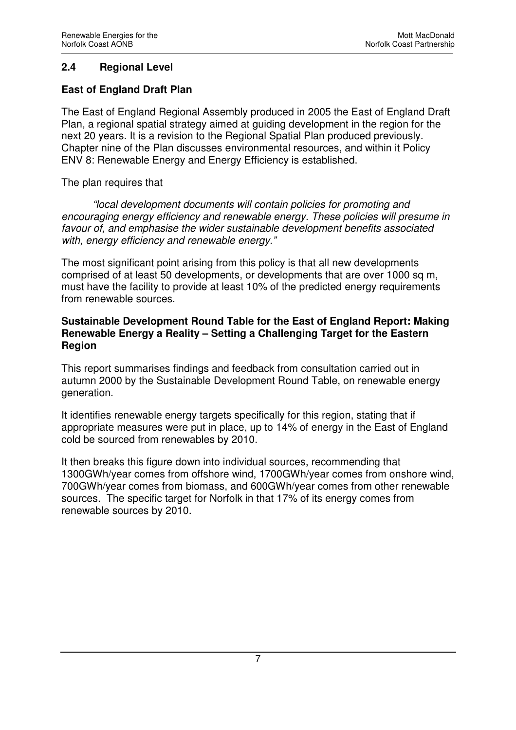## **2.4 Regional Level**

#### **East of England Draft Plan**

The East of England Regional Assembly produced in 2005 the East of England Draft Plan, a regional spatial strategy aimed at guiding development in the region for the next 20 years. It is a revision to the Regional Spatial Plan produced previously. Chapter nine of the Plan discusses environmental resources, and within it Policy ENV 8: Renewable Energy and Energy Efficiency is established.

The plan requires that

*"local development documents will contain policies for promoting and encouraging energy efficiency and renewable energy. These policies will presume in favour of, and emphasise the wider sustainable development benefits associated with, energy efficiency and renewable energy."* 

The most significant point arising from this policy is that all new developments comprised of at least 50 developments, or developments that are over 1000 sq m, must have the facility to provide at least 10% of the predicted energy requirements from renewable sources.

#### **Sustainable Development Round Table for the East of England Report: Making Renewable Energy a Reality – Setting a Challenging Target for the Eastern Region**

This report summarises findings and feedback from consultation carried out in autumn 2000 by the Sustainable Development Round Table, on renewable energy generation.

It identifies renewable energy targets specifically for this region, stating that if appropriate measures were put in place, up to 14% of energy in the East of England cold be sourced from renewables by 2010.

It then breaks this figure down into individual sources, recommending that 1300GWh/year comes from offshore wind, 1700GWh/year comes from onshore wind, 700GWh/year comes from biomass, and 600GWh/year comes from other renewable sources. The specific target for Norfolk in that 17% of its energy comes from renewable sources by 2010.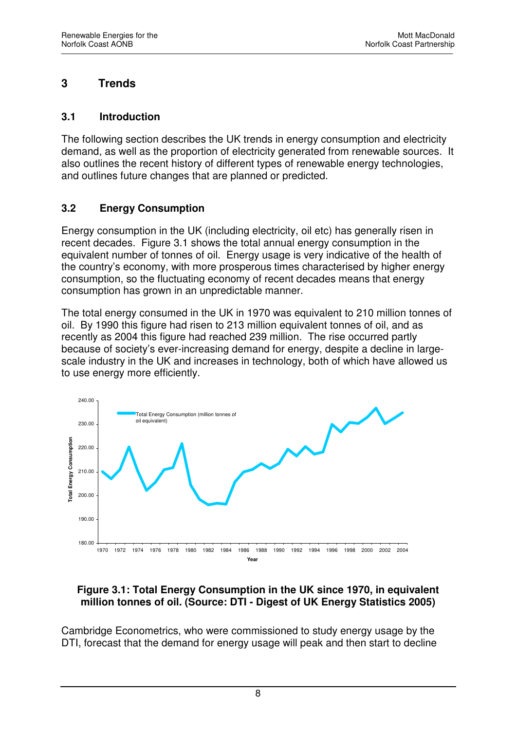# **3 Trends**

#### **3.1 Introduction**

The following section describes the UK trends in energy consumption and electricity demand, as well as the proportion of electricity generated from renewable sources. It also outlines the recent history of different types of renewable energy technologies, and outlines future changes that are planned or predicted.

## **3.2 Energy Consumption**

Energy consumption in the UK (including electricity, oil etc) has generally risen in recent decades. Figure 3.1 shows the total annual energy consumption in the equivalent number of tonnes of oil. Energy usage is very indicative of the health of the country's economy, with more prosperous times characterised by higher energy consumption, so the fluctuating economy of recent decades means that energy consumption has grown in an unpredictable manner.

The total energy consumed in the UK in 1970 was equivalent to 210 million tonnes of oil. By 1990 this figure had risen to 213 million equivalent tonnes of oil, and as recently as 2004 this figure had reached 239 million. The rise occurred partly because of society's ever-increasing demand for energy, despite a decline in largescale industry in the UK and increases in technology, both of which have allowed us to use energy more efficiently.



## **Figure 3.1: Total Energy Consumption in the UK since 1970, in equivalent million tonnes of oil. (Source: DTI - Digest of UK Energy Statistics 2005)**

Cambridge Econometrics, who were commissioned to study energy usage by the DTI, forecast that the demand for energy usage will peak and then start to decline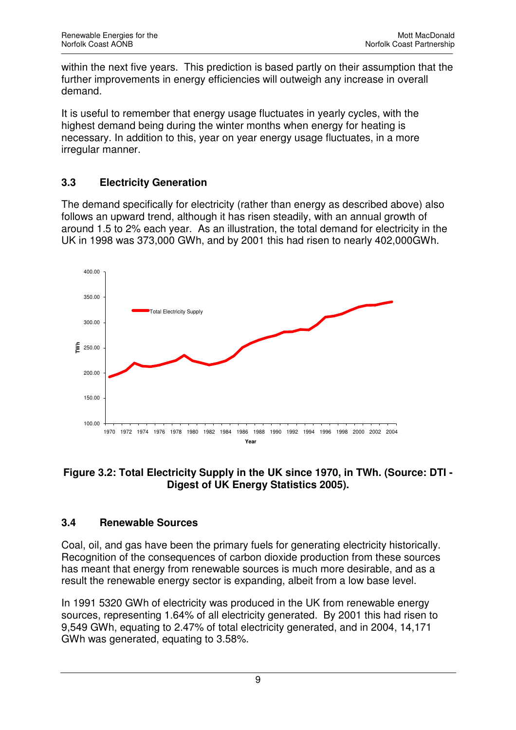within the next five years. This prediction is based partly on their assumption that the further improvements in energy efficiencies will outweigh any increase in overall demand.

It is useful to remember that energy usage fluctuates in yearly cycles, with the highest demand being during the winter months when energy for heating is necessary. In addition to this, year on year energy usage fluctuates, in a more irregular manner.

# **3.3 Electricity Generation**

The demand specifically for electricity (rather than energy as described above) also follows an upward trend, although it has risen steadily, with an annual growth of around 1.5 to 2% each year. As an illustration, the total demand for electricity in the UK in 1998 was 373,000 GWh, and by 2001 this had risen to nearly 402,000GWh.



## **Figure 3.2: Total Electricity Supply in the UK since 1970, in TWh. (Source: DTI - Digest of UK Energy Statistics 2005).**

# **3.4 Renewable Sources**

Coal, oil, and gas have been the primary fuels for generating electricity historically. Recognition of the consequences of carbon dioxide production from these sources has meant that energy from renewable sources is much more desirable, and as a result the renewable energy sector is expanding, albeit from a low base level.

In 1991 5320 GWh of electricity was produced in the UK from renewable energy sources, representing 1.64% of all electricity generated. By 2001 this had risen to 9,549 GWh, equating to 2.47% of total electricity generated, and in 2004, 14,171 GWh was generated, equating to 3.58%.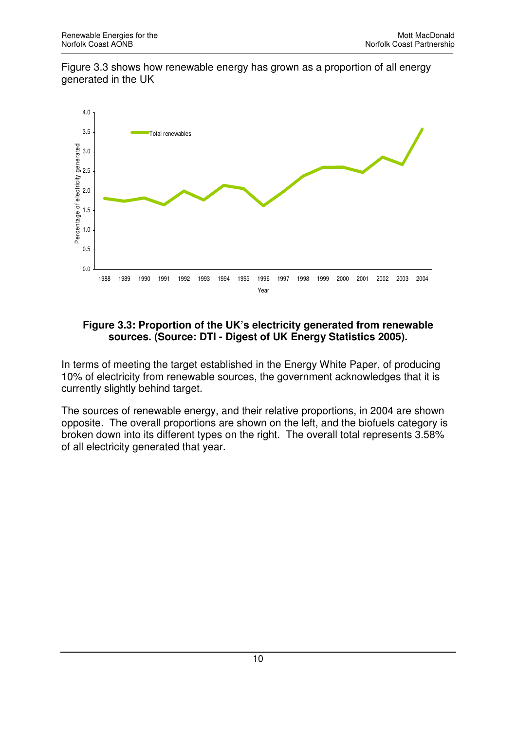Figure 3.3 shows how renewable energy has grown as a proportion of all energy generated in the UK



#### **Figure 3.3: Proportion of the UK's electricity generated from renewable sources. (Source: DTI - Digest of UK Energy Statistics 2005).**

In terms of meeting the target established in the Energy White Paper, of producing 10% of electricity from renewable sources, the government acknowledges that it is currently slightly behind target.

The sources of renewable energy, and their relative proportions, in 2004 are shown opposite. The overall proportions are shown on the left, and the biofuels category is broken down into its different types on the right. The overall total represents 3.58% of all electricity generated that year.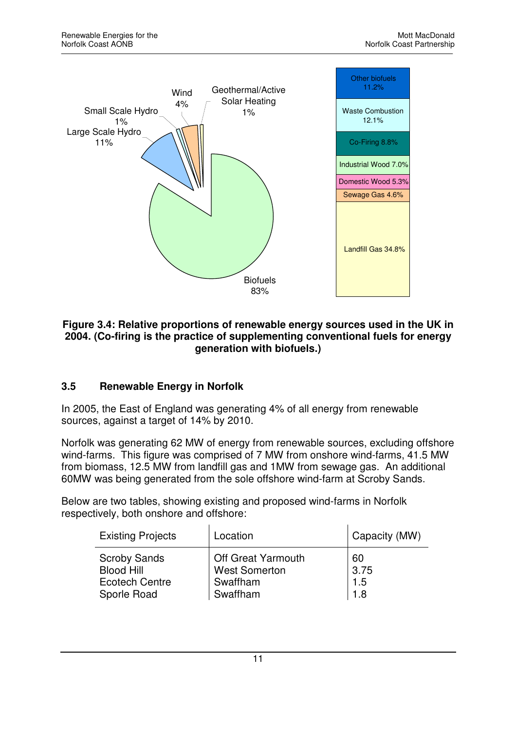

#### **Figure 3.4: Relative proportions of renewable energy sources used in the UK in 2004. (Co-firing is the practice of supplementing conventional fuels for energy generation with biofuels.)**

## **3.5 Renewable Energy in Norfolk**

In 2005, the East of England was generating 4% of all energy from renewable sources, against a target of 14% by 2010.

Norfolk was generating 62 MW of energy from renewable sources, excluding offshore wind-farms. This figure was comprised of 7 MW from onshore wind-farms, 41.5 MW from biomass, 12.5 MW from landfill gas and 1MW from sewage gas. An additional 60MW was being generated from the sole offshore wind-farm at Scroby Sands.

Below are two tables, showing existing and proposed wind-farms in Norfolk respectively, both onshore and offshore:

| <b>Existing Projects</b> | Location                  | Capacity (MW) |
|--------------------------|---------------------------|---------------|
| <b>Scroby Sands</b>      | <b>Off Great Yarmouth</b> | 60            |
| <b>Blood Hill</b>        | <b>West Somerton</b>      | 3.75          |
| <b>Ecotech Centre</b>    | Swaffham                  | 1.5           |
| Sporle Road              | Swaffham                  | 1.8           |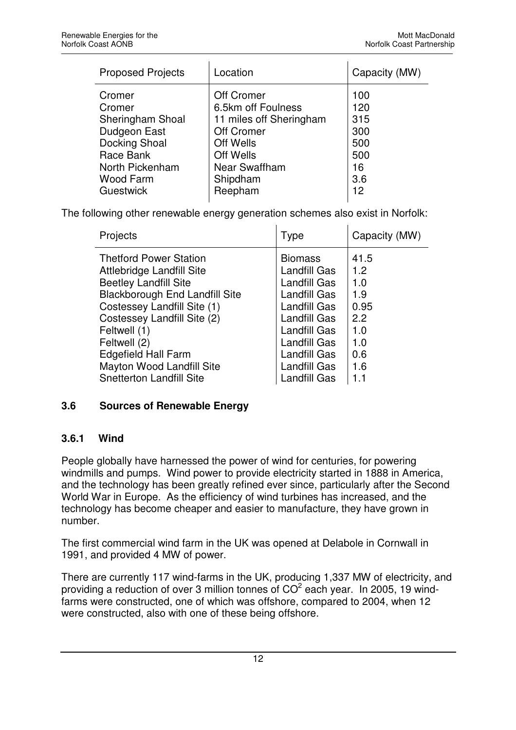| <b>Proposed Projects</b> | Location                | Capacity (MW) |
|--------------------------|-------------------------|---------------|
| Cromer                   | <b>Off Cromer</b>       | 100           |
| Cromer                   | 6.5km off Foulness      | 120           |
| Sheringham Shoal         | 11 miles off Sheringham | 315           |
| Dudgeon East             | Off Cromer              | 300           |
| <b>Docking Shoal</b>     | Off Wells               | 500           |
| Race Bank                | Off Wells               | 500           |
| North Pickenham          | Near Swaffham           | 16            |
| Wood Farm                | Shipdham                | 3.6           |
| Guestwick                | Reepham                 | 12            |

The following other renewable energy generation schemes also exist in Norfolk:

| <b>Type</b>                                                                                                                                                                                     | Capacity (MW)                                                        |
|-------------------------------------------------------------------------------------------------------------------------------------------------------------------------------------------------|----------------------------------------------------------------------|
| <b>Biomass</b><br><b>Landfill Gas</b><br><b>Landfill Gas</b><br>Landfill Gas<br><b>Landfill Gas</b><br><b>Landfill Gas</b><br><b>Landfill Gas</b><br><b>Landfill Gas</b><br><b>Landfill Gas</b> | 41.5<br>1.2<br>1.0<br>1.9<br>0.95<br>2.2<br>1.0<br>1.0<br>0.6<br>1.6 |
| Landfill Gas                                                                                                                                                                                    | 1.1                                                                  |
|                                                                                                                                                                                                 | <b>Landfill Gas</b>                                                  |

## **3.6 Sources of Renewable Energy**

## **3.6.1 Wind**

People globally have harnessed the power of wind for centuries, for powering windmills and pumps. Wind power to provide electricity started in 1888 in America, and the technology has been greatly refined ever since, particularly after the Second World War in Europe. As the efficiency of wind turbines has increased, and the technology has become cheaper and easier to manufacture, they have grown in number.

The first commercial wind farm in the UK was opened at Delabole in Cornwall in 1991, and provided 4 MW of power.

There are currently 117 wind-farms in the UK, producing 1,337 MW of electricity, and providing a reduction of over 3 million tonnes of  $CO<sup>2</sup>$  each year. In 2005, 19 windfarms were constructed, one of which was offshore, compared to 2004, when 12 were constructed, also with one of these being offshore.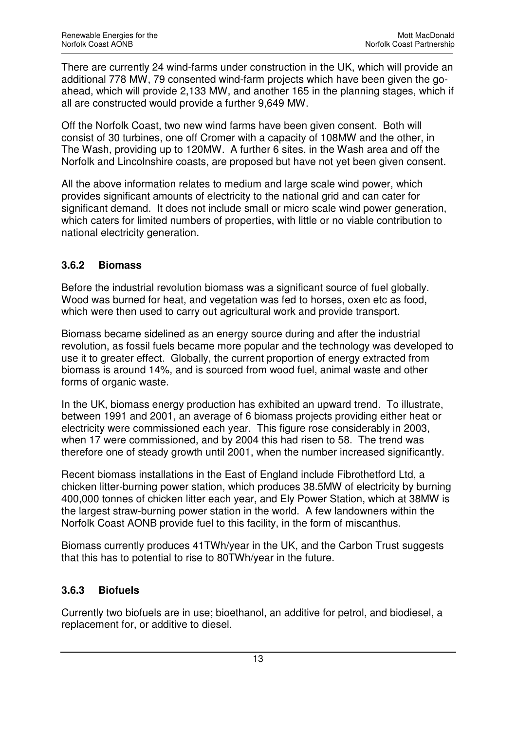There are currently 24 wind-farms under construction in the UK, which will provide an additional 778 MW, 79 consented wind-farm projects which have been given the goahead, which will provide 2,133 MW, and another 165 in the planning stages, which if all are constructed would provide a further 9,649 MW.

Off the Norfolk Coast, two new wind farms have been given consent. Both will consist of 30 turbines, one off Cromer with a capacity of 108MW and the other, in The Wash, providing up to 120MW. A further 6 sites, in the Wash area and off the Norfolk and Lincolnshire coasts, are proposed but have not yet been given consent.

All the above information relates to medium and large scale wind power, which provides significant amounts of electricity to the national grid and can cater for significant demand. It does not include small or micro scale wind power generation, which caters for limited numbers of properties, with little or no viable contribution to national electricity generation.

## **3.6.2 Biomass**

Before the industrial revolution biomass was a significant source of fuel globally. Wood was burned for heat, and vegetation was fed to horses, oxen etc as food, which were then used to carry out agricultural work and provide transport.

Biomass became sidelined as an energy source during and after the industrial revolution, as fossil fuels became more popular and the technology was developed to use it to greater effect. Globally, the current proportion of energy extracted from biomass is around 14%, and is sourced from wood fuel, animal waste and other forms of organic waste.

In the UK, biomass energy production has exhibited an upward trend. To illustrate, between 1991 and 2001, an average of 6 biomass projects providing either heat or electricity were commissioned each year. This figure rose considerably in 2003, when 17 were commissioned, and by 2004 this had risen to 58. The trend was therefore one of steady growth until 2001, when the number increased significantly.

Recent biomass installations in the East of England include Fibrothetford Ltd, a chicken litter-burning power station, which produces 38.5MW of electricity by burning 400,000 tonnes of chicken litter each year, and Ely Power Station, which at 38MW is the largest straw-burning power station in the world. A few landowners within the Norfolk Coast AONB provide fuel to this facility, in the form of miscanthus.

Biomass currently produces 41TWh/year in the UK, and the Carbon Trust suggests that this has to potential to rise to 80TWh/year in the future.

## **3.6.3 Biofuels**

Currently two biofuels are in use; bioethanol, an additive for petrol, and biodiesel, a replacement for, or additive to diesel.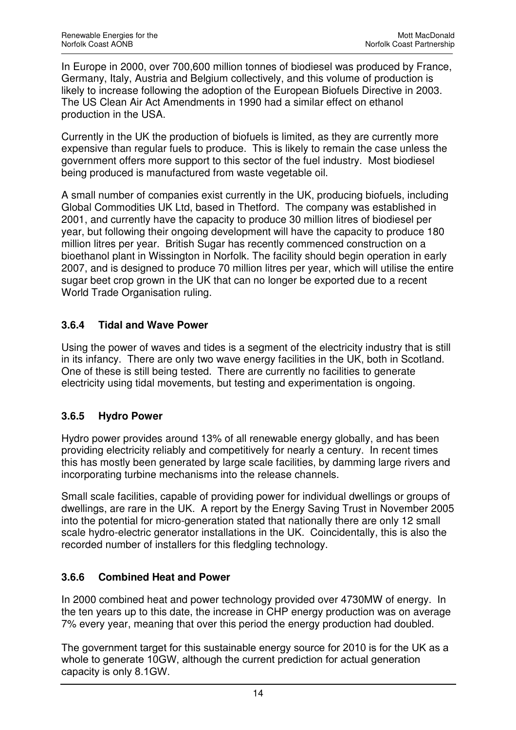In Europe in 2000, over 700,600 million tonnes of biodiesel was produced by France, Germany, Italy, Austria and Belgium collectively, and this volume of production is likely to increase following the adoption of the European Biofuels Directive in 2003. The US Clean Air Act Amendments in 1990 had a similar effect on ethanol production in the USA.

Currently in the UK the production of biofuels is limited, as they are currently more expensive than regular fuels to produce. This is likely to remain the case unless the government offers more support to this sector of the fuel industry. Most biodiesel being produced is manufactured from waste vegetable oil.

A small number of companies exist currently in the UK, producing biofuels, including Global Commodities UK Ltd, based in Thetford. The company was established in 2001, and currently have the capacity to produce 30 million litres of biodiesel per year, but following their ongoing development will have the capacity to produce 180 million litres per year. British Sugar has recently commenced construction on a bioethanol plant in Wissington in Norfolk. The facility should begin operation in early 2007, and is designed to produce 70 million litres per year, which will utilise the entire sugar beet crop grown in the UK that can no longer be exported due to a recent World Trade Organisation ruling.

## **3.6.4 Tidal and Wave Power**

Using the power of waves and tides is a segment of the electricity industry that is still in its infancy. There are only two wave energy facilities in the UK, both in Scotland. One of these is still being tested. There are currently no facilities to generate electricity using tidal movements, but testing and experimentation is ongoing.

# **3.6.5 Hydro Power**

Hydro power provides around 13% of all renewable energy globally, and has been providing electricity reliably and competitively for nearly a century. In recent times this has mostly been generated by large scale facilities, by damming large rivers and incorporating turbine mechanisms into the release channels.

Small scale facilities, capable of providing power for individual dwellings or groups of dwellings, are rare in the UK. A report by the Energy Saving Trust in November 2005 into the potential for micro-generation stated that nationally there are only 12 small scale hydro-electric generator installations in the UK. Coincidentally, this is also the recorded number of installers for this fledgling technology.

# **3.6.6 Combined Heat and Power**

In 2000 combined heat and power technology provided over 4730MW of energy. In the ten years up to this date, the increase in CHP energy production was on average 7% every year, meaning that over this period the energy production had doubled.

The government target for this sustainable energy source for 2010 is for the UK as a whole to generate 10GW, although the current prediction for actual generation capacity is only 8.1GW.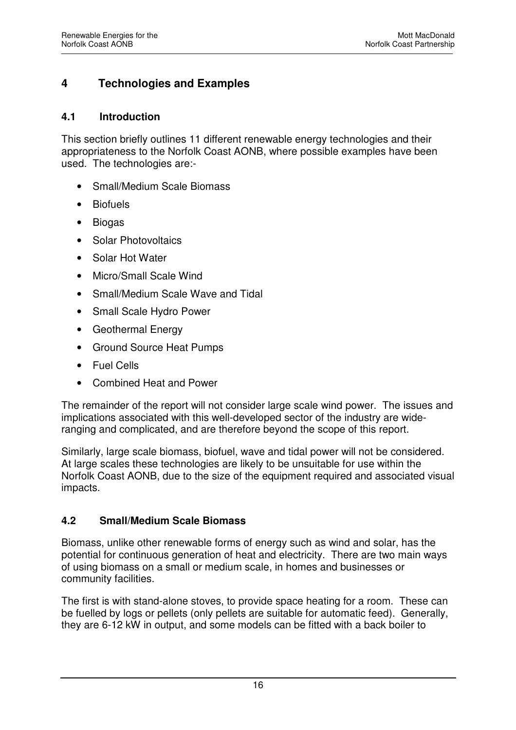# **4 Technologies and Examples**

#### **4.1 Introduction**

This section briefly outlines 11 different renewable energy technologies and their appropriateness to the Norfolk Coast AONB, where possible examples have been used. The technologies are:-

- Small/Medium Scale Biomass
- Biofuels
- Biogas
- Solar Photovoltaics
- Solar Hot Water
- Micro/Small Scale Wind
- Small/Medium Scale Wave and Tidal
- Small Scale Hydro Power
- Geothermal Energy
- Ground Source Heat Pumps
- Fuel Cells
- Combined Heat and Power

The remainder of the report will not consider large scale wind power. The issues and implications associated with this well-developed sector of the industry are wideranging and complicated, and are therefore beyond the scope of this report.

Similarly, large scale biomass, biofuel, wave and tidal power will not be considered. At large scales these technologies are likely to be unsuitable for use within the Norfolk Coast AONB, due to the size of the equipment required and associated visual impacts.

#### **4.2 Small/Medium Scale Biomass**

Biomass, unlike other renewable forms of energy such as wind and solar, has the potential for continuous generation of heat and electricity. There are two main ways of using biomass on a small or medium scale, in homes and businesses or community facilities.

The first is with stand-alone stoves, to provide space heating for a room. These can be fuelled by logs or pellets (only pellets are suitable for automatic feed). Generally, they are 6-12 kW in output, and some models can be fitted with a back boiler to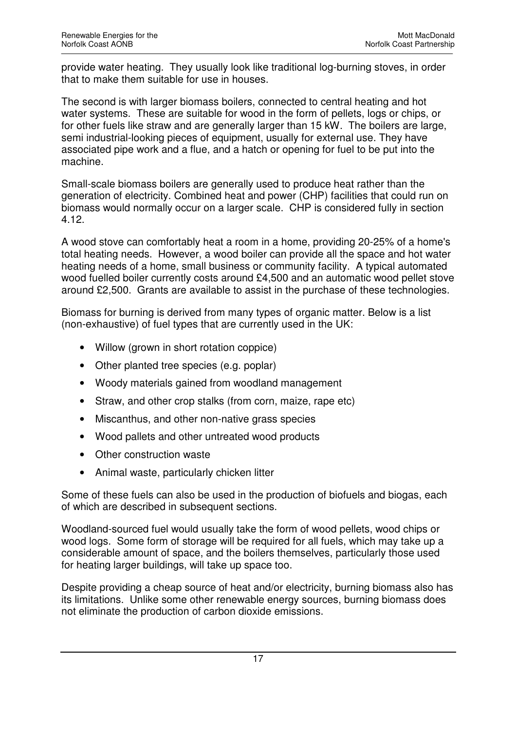provide water heating. They usually look like traditional log-burning stoves, in order that to make them suitable for use in houses.

The second is with larger biomass boilers, connected to central heating and hot water systems. These are suitable for wood in the form of pellets, logs or chips, or for other fuels like straw and are generally larger than 15 kW. The boilers are large, semi industrial-looking pieces of equipment, usually for external use. They have associated pipe work and a flue, and a hatch or opening for fuel to be put into the machine.

Small-scale biomass boilers are generally used to produce heat rather than the generation of electricity. Combined heat and power (CHP) facilities that could run on biomass would normally occur on a larger scale. CHP is considered fully in section 4.12.

A wood stove can comfortably heat a room in a home, providing 20-25% of a home's total heating needs. However, a wood boiler can provide all the space and hot water heating needs of a home, small business or community facility. A typical automated wood fuelled boiler currently costs around £4,500 and an automatic wood pellet stove around £2,500. Grants are available to assist in the purchase of these technologies.

Biomass for burning is derived from many types of organic matter. Below is a list (non-exhaustive) of fuel types that are currently used in the UK:

- Willow (grown in short rotation coppice)
- Other planted tree species (e.g. poplar)
- Woody materials gained from woodland management
- Straw, and other crop stalks (from corn, maize, rape etc)
- Miscanthus, and other non-native grass species
- Wood pallets and other untreated wood products
- Other construction waste
- Animal waste, particularly chicken litter

Some of these fuels can also be used in the production of biofuels and biogas, each of which are described in subsequent sections.

Woodland-sourced fuel would usually take the form of wood pellets, wood chips or wood logs. Some form of storage will be required for all fuels, which may take up a considerable amount of space, and the boilers themselves, particularly those used for heating larger buildings, will take up space too.

Despite providing a cheap source of heat and/or electricity, burning biomass also has its limitations. Unlike some other renewable energy sources, burning biomass does not eliminate the production of carbon dioxide emissions.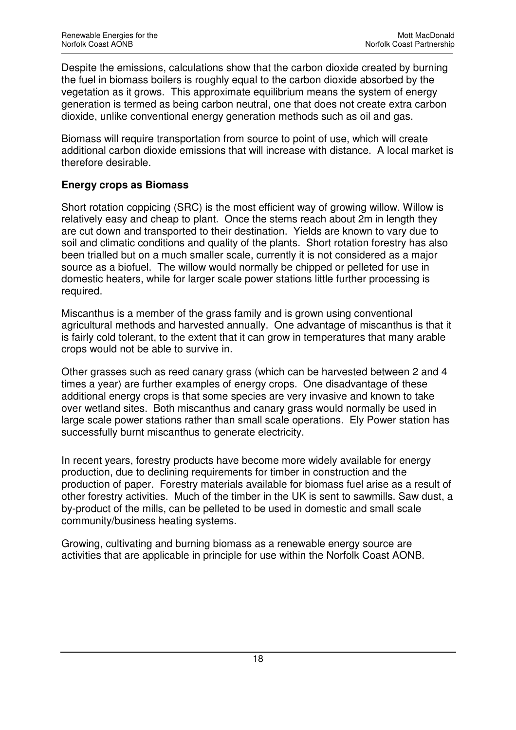Despite the emissions, calculations show that the carbon dioxide created by burning the fuel in biomass boilers is roughly equal to the carbon dioxide absorbed by the vegetation as it grows. This approximate equilibrium means the system of energy generation is termed as being carbon neutral, one that does not create extra carbon dioxide, unlike conventional energy generation methods such as oil and gas.

Biomass will require transportation from source to point of use, which will create additional carbon dioxide emissions that will increase with distance. A local market is therefore desirable.

## **Energy crops as Biomass**

Short rotation coppicing (SRC) is the most efficient way of growing willow. Willow is relatively easy and cheap to plant. Once the stems reach about 2m in length they are cut down and transported to their destination. Yields are known to vary due to soil and climatic conditions and quality of the plants. Short rotation forestry has also been trialled but on a much smaller scale, currently it is not considered as a major source as a biofuel. The willow would normally be chipped or pelleted for use in domestic heaters, while for larger scale power stations little further processing is required.

Miscanthus is a member of the grass family and is grown using conventional agricultural methods and harvested annually. One advantage of miscanthus is that it is fairly cold tolerant, to the extent that it can grow in temperatures that many arable crops would not be able to survive in.

Other grasses such as reed canary grass (which can be harvested between 2 and 4 times a year) are further examples of energy crops. One disadvantage of these additional energy crops is that some species are very invasive and known to take over wetland sites. Both miscanthus and canary grass would normally be used in large scale power stations rather than small scale operations. Ely Power station has successfully burnt miscanthus to generate electricity.

In recent years, forestry products have become more widely available for energy production, due to declining requirements for timber in construction and the production of paper. Forestry materials available for biomass fuel arise as a result of other forestry activities. Much of the timber in the UK is sent to sawmills. Saw dust, a by-product of the mills, can be pelleted to be used in domestic and small scale community/business heating systems.

Growing, cultivating and burning biomass as a renewable energy source are activities that are applicable in principle for use within the Norfolk Coast AONB.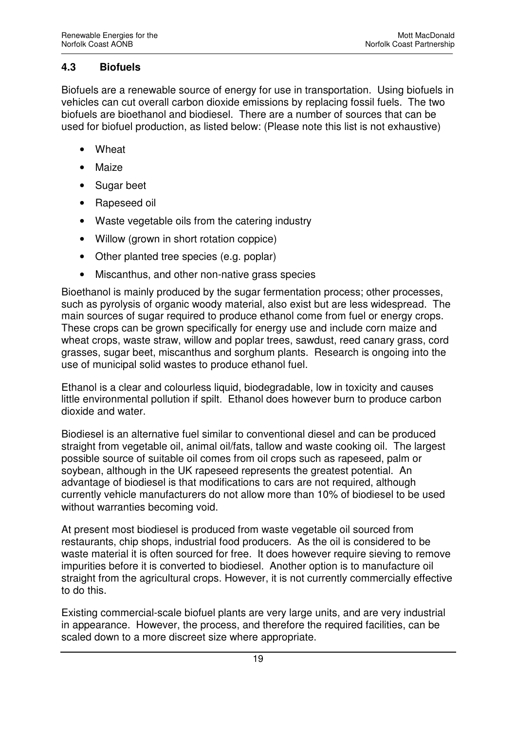#### **4.3 Biofuels**

Biofuels are a renewable source of energy for use in transportation. Using biofuels in vehicles can cut overall carbon dioxide emissions by replacing fossil fuels. The two biofuels are bioethanol and biodiesel. There are a number of sources that can be used for biofuel production, as listed below: (Please note this list is not exhaustive)

- Wheat
- **Maize**
- Sugar beet
- Rapeseed oil
- Waste vegetable oils from the catering industry
- Willow (grown in short rotation coppice)
- Other planted tree species (e.g. poplar)
- Miscanthus, and other non-native grass species

Bioethanol is mainly produced by the sugar fermentation process; other processes, such as pyrolysis of organic woody material, also exist but are less widespread. The main sources of sugar required to produce ethanol come from fuel or energy crops. These crops can be grown specifically for energy use and include corn maize and wheat crops, waste straw, willow and poplar trees, sawdust, reed canary grass, cord grasses, sugar beet, miscanthus and sorghum plants. Research is ongoing into the use of municipal solid wastes to produce ethanol fuel.

Ethanol is a clear and colourless liquid, biodegradable, low in toxicity and causes little environmental pollution if spilt. Ethanol does however burn to produce carbon dioxide and water.

Biodiesel is an alternative fuel similar to conventional diesel and can be produced straight from vegetable oil, animal oil/fats, tallow and waste cooking oil. The largest possible source of suitable oil comes from oil crops such as rapeseed, palm or soybean, although in the UK rapeseed represents the greatest potential. An advantage of biodiesel is that modifications to cars are not required, although currently vehicle manufacturers do not allow more than 10% of biodiesel to be used without warranties becoming void.

At present most biodiesel is produced from waste vegetable oil sourced from restaurants, chip shops, industrial food producers. As the oil is considered to be waste material it is often sourced for free. It does however require sieving to remove impurities before it is converted to biodiesel. Another option is to manufacture oil straight from the agricultural crops. However, it is not currently commercially effective to do this.

Existing commercial-scale biofuel plants are very large units, and are very industrial in appearance. However, the process, and therefore the required facilities, can be scaled down to a more discreet size where appropriate.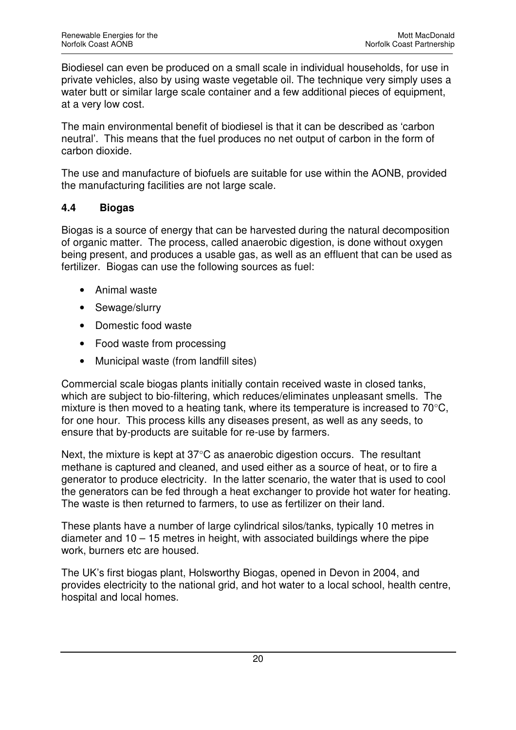Biodiesel can even be produced on a small scale in individual households, for use in private vehicles, also by using waste vegetable oil. The technique very simply uses a water butt or similar large scale container and a few additional pieces of equipment, at a very low cost.

The main environmental benefit of biodiesel is that it can be described as 'carbon neutral'. This means that the fuel produces no net output of carbon in the form of carbon dioxide.

The use and manufacture of biofuels are suitable for use within the AONB, provided the manufacturing facilities are not large scale.

## **4.4 Biogas**

Biogas is a source of energy that can be harvested during the natural decomposition of organic matter. The process, called anaerobic digestion, is done without oxygen being present, and produces a usable gas, as well as an effluent that can be used as fertilizer. Biogas can use the following sources as fuel:

- Animal waste
- Sewage/slurry
- Domestic food waste
- Food waste from processing
- Municipal waste (from landfill sites)

Commercial scale biogas plants initially contain received waste in closed tanks, which are subject to bio-filtering, which reduces/eliminates unpleasant smells. The mixture is then moved to a heating tank, where its temperature is increased to 70°C, for one hour. This process kills any diseases present, as well as any seeds, to ensure that by-products are suitable for re-use by farmers.

Next, the mixture is kept at 37°C as anaerobic digestion occurs. The resultant methane is captured and cleaned, and used either as a source of heat, or to fire a generator to produce electricity. In the latter scenario, the water that is used to cool the generators can be fed through a heat exchanger to provide hot water for heating. The waste is then returned to farmers, to use as fertilizer on their land.

These plants have a number of large cylindrical silos/tanks, typically 10 metres in diameter and 10 – 15 metres in height, with associated buildings where the pipe work, burners etc are housed.

The UK's first biogas plant, Holsworthy Biogas, opened in Devon in 2004, and provides electricity to the national grid, and hot water to a local school, health centre, hospital and local homes.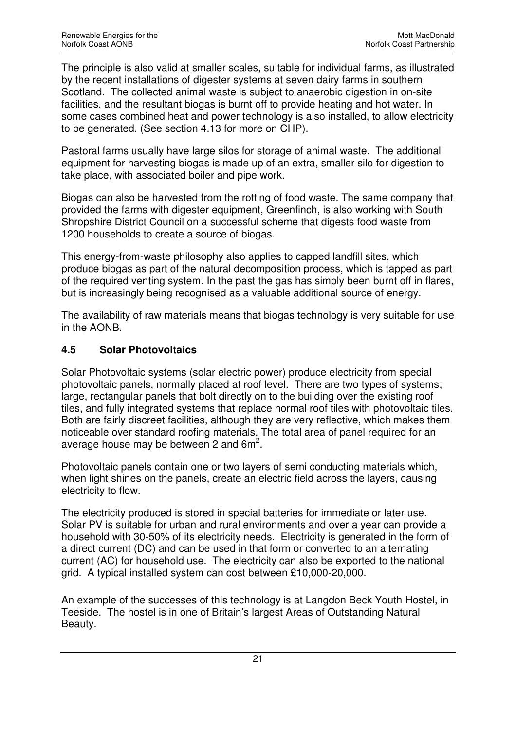The principle is also valid at smaller scales, suitable for individual farms, as illustrated by the recent installations of digester systems at seven dairy farms in southern Scotland. The collected animal waste is subject to anaerobic digestion in on-site facilities, and the resultant biogas is burnt off to provide heating and hot water. In some cases combined heat and power technology is also installed, to allow electricity to be generated. (See section 4.13 for more on CHP).

Pastoral farms usually have large silos for storage of animal waste. The additional equipment for harvesting biogas is made up of an extra, smaller silo for digestion to take place, with associated boiler and pipe work.

Biogas can also be harvested from the rotting of food waste. The same company that provided the farms with digester equipment, Greenfinch, is also working with South Shropshire District Council on a successful scheme that digests food waste from 1200 households to create a source of biogas.

This energy-from-waste philosophy also applies to capped landfill sites, which produce biogas as part of the natural decomposition process, which is tapped as part of the required venting system. In the past the gas has simply been burnt off in flares, but is increasingly being recognised as a valuable additional source of energy.

The availability of raw materials means that biogas technology is very suitable for use in the AONB.

## **4.5 Solar Photovoltaics**

Solar Photovoltaic systems (solar electric power) produce electricity from special photovoltaic panels, normally placed at roof level. There are two types of systems; large, rectangular panels that bolt directly on to the building over the existing roof tiles, and fully integrated systems that replace normal roof tiles with photovoltaic tiles. Both are fairly discreet facilities, although they are very reflective, which makes them noticeable over standard roofing materials. The total area of panel required for an average house may be between 2 and  $6m^2$ .

Photovoltaic panels contain one or two layers of semi conducting materials which, when light shines on the panels, create an electric field across the layers, causing electricity to flow.

The electricity produced is stored in special batteries for immediate or later use. Solar PV is suitable for urban and rural environments and over a year can provide a household with 30-50% of its electricity needs. Electricity is generated in the form of a direct current (DC) and can be used in that form or converted to an alternating current (AC) for household use. The electricity can also be exported to the national grid. A typical installed system can cost between £10,000-20,000.

An example of the successes of this technology is at Langdon Beck Youth Hostel, in Teeside. The hostel is in one of Britain's largest Areas of Outstanding Natural Beauty.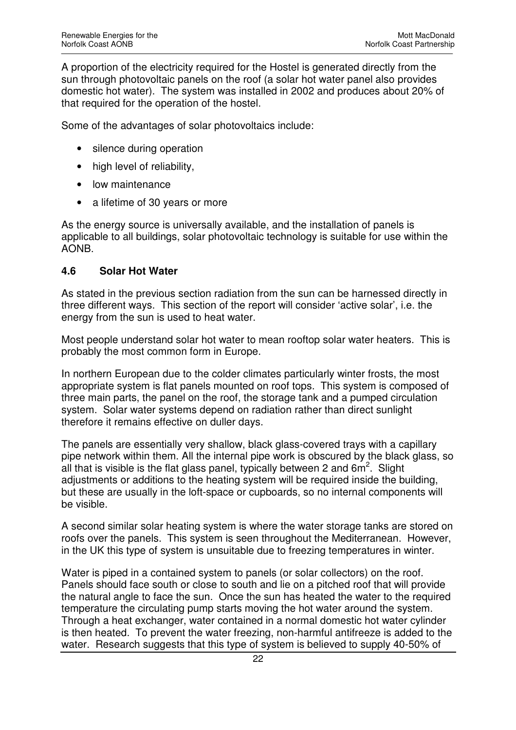A proportion of the electricity required for the Hostel is generated directly from the sun through photovoltaic panels on the roof (a solar hot water panel also provides domestic hot water). The system was installed in 2002 and produces about 20% of that required for the operation of the hostel.

Some of the advantages of solar photovoltaics include:

- silence during operation
- high level of reliability,
- low maintenance
- a lifetime of 30 years or more

As the energy source is universally available, and the installation of panels is applicable to all buildings, solar photovoltaic technology is suitable for use within the AONB.

#### **4.6 Solar Hot Water**

As stated in the previous section radiation from the sun can be harnessed directly in three different ways. This section of the report will consider 'active solar', i.e. the energy from the sun is used to heat water.

Most people understand solar hot water to mean rooftop solar water heaters. This is probably the most common form in Europe.

In northern European due to the colder climates particularly winter frosts, the most appropriate system is flat panels mounted on roof tops. This system is composed of three main parts, the panel on the roof, the storage tank and a pumped circulation system. Solar water systems depend on radiation rather than direct sunlight therefore it remains effective on duller days.

The panels are essentially very shallow, black glass-covered trays with a capillary pipe network within them. All the internal pipe work is obscured by the black glass, so all that is visible is the flat glass panel, typically between 2 and  $6m^2$ . Slight adjustments or additions to the heating system will be required inside the building, but these are usually in the loft-space or cupboards, so no internal components will be visible.

A second similar solar heating system is where the water storage tanks are stored on roofs over the panels. This system is seen throughout the Mediterranean. However, in the UK this type of system is unsuitable due to freezing temperatures in winter.

Water is piped in a contained system to panels (or solar collectors) on the roof. Panels should face south or close to south and lie on a pitched roof that will provide the natural angle to face the sun. Once the sun has heated the water to the required temperature the circulating pump starts moving the hot water around the system. Through a heat exchanger, water contained in a normal domestic hot water cylinder is then heated. To prevent the water freezing, non-harmful antifreeze is added to the water. Research suggests that this type of system is believed to supply 40-50% of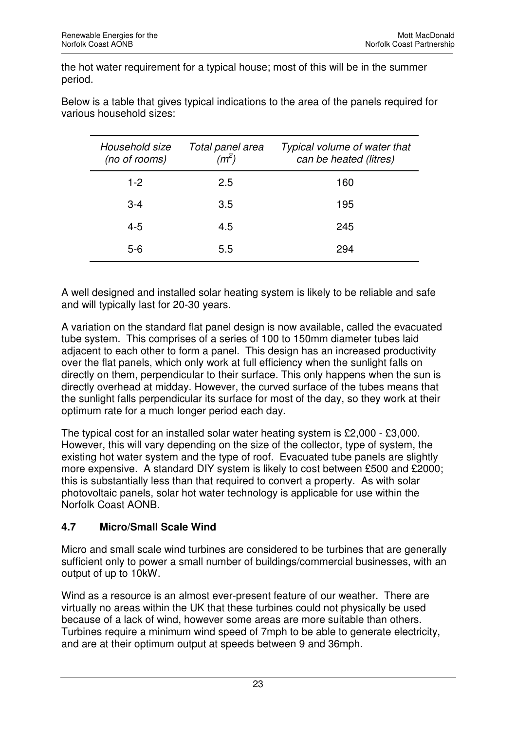the hot water requirement for a typical house; most of this will be in the summer period.

| Household size<br>(no of rooms) | Total panel area<br>(m <sup>2</sup> ) | Typical volume of water that<br>can be heated (litres) |
|---------------------------------|---------------------------------------|--------------------------------------------------------|
| $1-2$                           | 2.5                                   | 160                                                    |
| $3 - 4$                         | 3.5                                   | 195                                                    |
| $4 - 5$                         | 4.5                                   | 245                                                    |
| $5-6$                           | 5.5                                   | 294                                                    |

Below is a table that gives typical indications to the area of the panels required for various household sizes:

A well designed and installed solar heating system is likely to be reliable and safe and will typically last for 20-30 years.

A variation on the standard flat panel design is now available, called the evacuated tube system. This comprises of a series of 100 to 150mm diameter tubes laid adjacent to each other to form a panel. This design has an increased productivity over the flat panels, which only work at full efficiency when the sunlight falls on directly on them, perpendicular to their surface. This only happens when the sun is directly overhead at midday. However, the curved surface of the tubes means that the sunlight falls perpendicular its surface for most of the day, so they work at their optimum rate for a much longer period each day.

The typical cost for an installed solar water heating system is £2,000 - £3,000. However, this will vary depending on the size of the collector, type of system, the existing hot water system and the type of roof. Evacuated tube panels are slightly more expensive. A standard DIY system is likely to cost between £500 and £2000; this is substantially less than that required to convert a property. As with solar photovoltaic panels, solar hot water technology is applicable for use within the Norfolk Coast AONB.

# **4.7 Micro/Small Scale Wind**

Micro and small scale wind turbines are considered to be turbines that are generally sufficient only to power a small number of buildings/commercial businesses, with an output of up to 10kW.

Wind as a resource is an almost ever-present feature of our weather. There are virtually no areas within the UK that these turbines could not physically be used because of a lack of wind, however some areas are more suitable than others. Turbines require a minimum wind speed of 7mph to be able to generate electricity, and are at their optimum output at speeds between 9 and 36mph.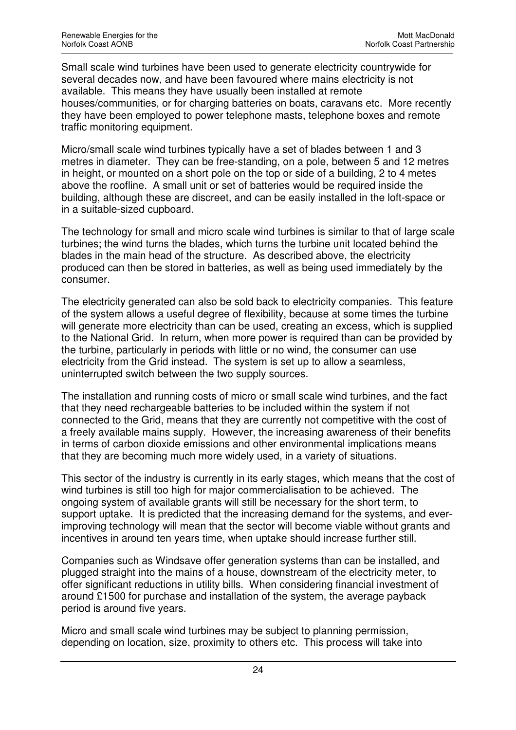Small scale wind turbines have been used to generate electricity countrywide for several decades now, and have been favoured where mains electricity is not available. This means they have usually been installed at remote houses/communities, or for charging batteries on boats, caravans etc. More recently they have been employed to power telephone masts, telephone boxes and remote traffic monitoring equipment.

Micro/small scale wind turbines typically have a set of blades between 1 and 3 metres in diameter. They can be free-standing, on a pole, between 5 and 12 metres in height, or mounted on a short pole on the top or side of a building, 2 to 4 metes above the roofline. A small unit or set of batteries would be required inside the building, although these are discreet, and can be easily installed in the loft-space or in a suitable-sized cupboard.

The technology for small and micro scale wind turbines is similar to that of large scale turbines; the wind turns the blades, which turns the turbine unit located behind the blades in the main head of the structure. As described above, the electricity produced can then be stored in batteries, as well as being used immediately by the consumer.

The electricity generated can also be sold back to electricity companies. This feature of the system allows a useful degree of flexibility, because at some times the turbine will generate more electricity than can be used, creating an excess, which is supplied to the National Grid. In return, when more power is required than can be provided by the turbine, particularly in periods with little or no wind, the consumer can use electricity from the Grid instead. The system is set up to allow a seamless, uninterrupted switch between the two supply sources.

The installation and running costs of micro or small scale wind turbines, and the fact that they need rechargeable batteries to be included within the system if not connected to the Grid, means that they are currently not competitive with the cost of a freely available mains supply. However, the increasing awareness of their benefits in terms of carbon dioxide emissions and other environmental implications means that they are becoming much more widely used, in a variety of situations.

This sector of the industry is currently in its early stages, which means that the cost of wind turbines is still too high for major commercialisation to be achieved. The ongoing system of available grants will still be necessary for the short term, to support uptake. It is predicted that the increasing demand for the systems, and everimproving technology will mean that the sector will become viable without grants and incentives in around ten years time, when uptake should increase further still.

Companies such as Windsave offer generation systems than can be installed, and plugged straight into the mains of a house, downstream of the electricity meter, to offer significant reductions in utility bills. When considering financial investment of around £1500 for purchase and installation of the system, the average payback period is around five years.

Micro and small scale wind turbines may be subject to planning permission, depending on location, size, proximity to others etc. This process will take into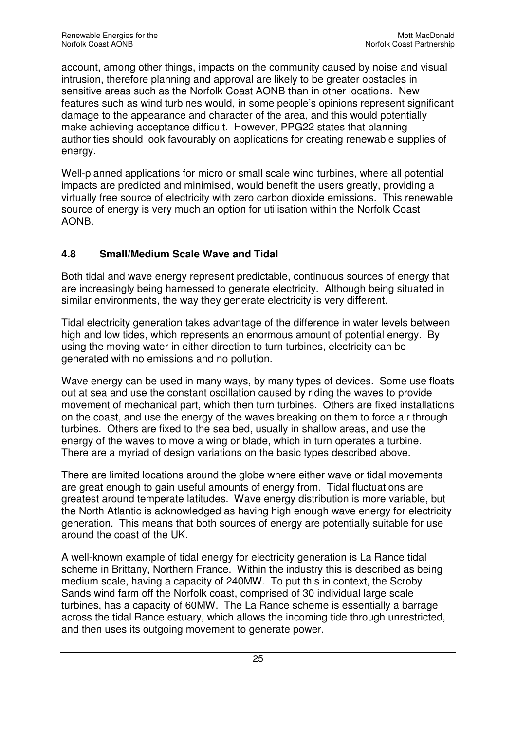account, among other things, impacts on the community caused by noise and visual intrusion, therefore planning and approval are likely to be greater obstacles in sensitive areas such as the Norfolk Coast AONB than in other locations. New features such as wind turbines would, in some people's opinions represent significant damage to the appearance and character of the area, and this would potentially make achieving acceptance difficult. However, PPG22 states that planning authorities should look favourably on applications for creating renewable supplies of energy.

Well-planned applications for micro or small scale wind turbines, where all potential impacts are predicted and minimised, would benefit the users greatly, providing a virtually free source of electricity with zero carbon dioxide emissions. This renewable source of energy is very much an option for utilisation within the Norfolk Coast AONB.

## **4.8 Small/Medium Scale Wave and Tidal**

Both tidal and wave energy represent predictable, continuous sources of energy that are increasingly being harnessed to generate electricity. Although being situated in similar environments, the way they generate electricity is very different.

Tidal electricity generation takes advantage of the difference in water levels between high and low tides, which represents an enormous amount of potential energy. By using the moving water in either direction to turn turbines, electricity can be generated with no emissions and no pollution.

Wave energy can be used in many ways, by many types of devices. Some use floats out at sea and use the constant oscillation caused by riding the waves to provide movement of mechanical part, which then turn turbines. Others are fixed installations on the coast, and use the energy of the waves breaking on them to force air through turbines. Others are fixed to the sea bed, usually in shallow areas, and use the energy of the waves to move a wing or blade, which in turn operates a turbine. There are a myriad of design variations on the basic types described above.

There are limited locations around the globe where either wave or tidal movements are great enough to gain useful amounts of energy from. Tidal fluctuations are greatest around temperate latitudes. Wave energy distribution is more variable, but the North Atlantic is acknowledged as having high enough wave energy for electricity generation. This means that both sources of energy are potentially suitable for use around the coast of the UK.

A well-known example of tidal energy for electricity generation is La Rance tidal scheme in Brittany, Northern France. Within the industry this is described as being medium scale, having a capacity of 240MW. To put this in context, the Scroby Sands wind farm off the Norfolk coast, comprised of 30 individual large scale turbines, has a capacity of 60MW. The La Rance scheme is essentially a barrage across the tidal Rance estuary, which allows the incoming tide through unrestricted, and then uses its outgoing movement to generate power.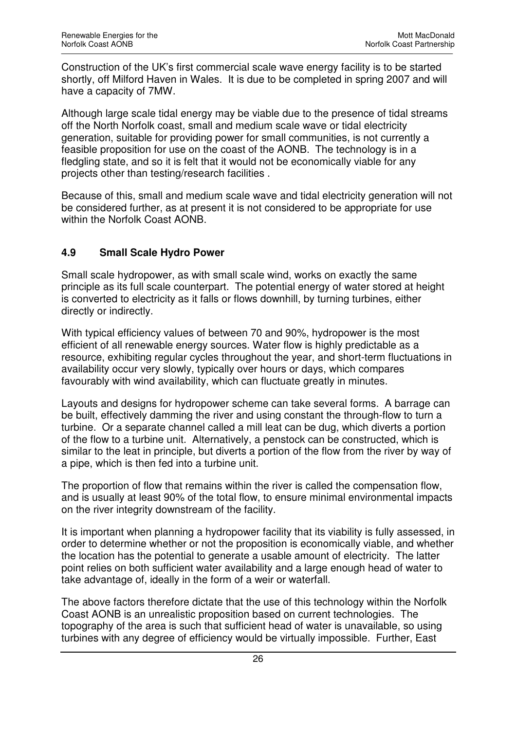Construction of the UK's first commercial scale wave energy facility is to be started shortly, off Milford Haven in Wales. It is due to be completed in spring 2007 and will have a capacity of 7MW.

Although large scale tidal energy may be viable due to the presence of tidal streams off the North Norfolk coast, small and medium scale wave or tidal electricity generation, suitable for providing power for small communities, is not currently a feasible proposition for use on the coast of the AONB. The technology is in a fledgling state, and so it is felt that it would not be economically viable for any projects other than testing/research facilities .

Because of this, small and medium scale wave and tidal electricity generation will not be considered further, as at present it is not considered to be appropriate for use within the Norfolk Coast AONB.

## **4.9 Small Scale Hydro Power**

Small scale hydropower, as with small scale wind, works on exactly the same principle as its full scale counterpart. The potential energy of water stored at height is converted to electricity as it falls or flows downhill, by turning turbines, either directly or indirectly.

With typical efficiency values of between 70 and 90%, hydropower is the most efficient of all renewable energy sources. Water flow is highly predictable as a resource, exhibiting regular cycles throughout the year, and short-term fluctuations in availability occur very slowly, typically over hours or days, which compares favourably with wind availability, which can fluctuate greatly in minutes.

Layouts and designs for hydropower scheme can take several forms. A barrage can be built, effectively damming the river and using constant the through-flow to turn a turbine. Or a separate channel called a mill leat can be dug, which diverts a portion of the flow to a turbine unit. Alternatively, a penstock can be constructed, which is similar to the leat in principle, but diverts a portion of the flow from the river by way of a pipe, which is then fed into a turbine unit.

The proportion of flow that remains within the river is called the compensation flow, and is usually at least 90% of the total flow, to ensure minimal environmental impacts on the river integrity downstream of the facility.

It is important when planning a hydropower facility that its viability is fully assessed, in order to determine whether or not the proposition is economically viable, and whether the location has the potential to generate a usable amount of electricity. The latter point relies on both sufficient water availability and a large enough head of water to take advantage of, ideally in the form of a weir or waterfall.

The above factors therefore dictate that the use of this technology within the Norfolk Coast AONB is an unrealistic proposition based on current technologies. The topography of the area is such that sufficient head of water is unavailable, so using turbines with any degree of efficiency would be virtually impossible. Further, East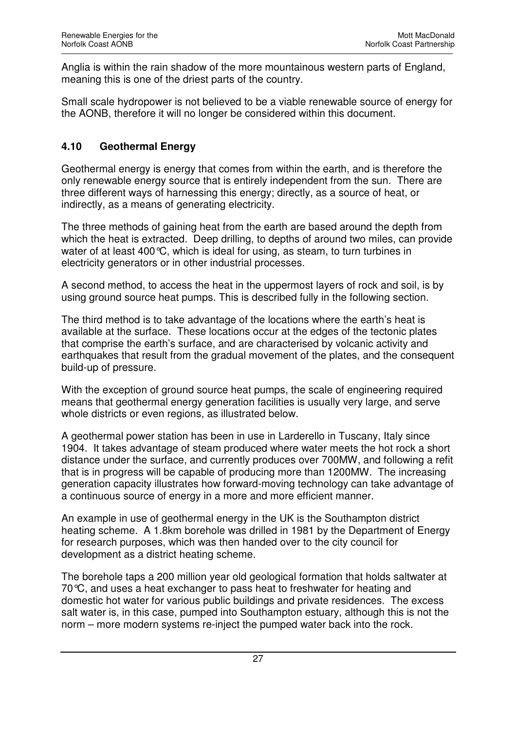Anglia is within the rain shadow of the more mountainous western parts of England, meaning this is one of the driest parts of the country.

Small scale hydropower is not believed to be a viable renewable source of energy for the AONB, therefore it will no longer be considered within this document.

## **4.10 Geothermal Energy**

Geothermal energy is energy that comes from within the earth, and is therefore the only renewable energy source that is entirely independent from the sun. There are three different ways of harnessing this energy; directly, as a source of heat, or indirectly, as a means of generating electricity.

The three methods of gaining heat from the earth are based around the depth from which the heat is extracted. Deep drilling, to depths of around two miles, can provide water of at least 400 °C, which is ideal for using, as steam, to turn turbines in electricity generators or in other industrial processes.

A second method, to access the heat in the uppermost layers of rock and soil, is by using ground source heat pumps. This is described fully in the following section.

The third method is to take advantage of the locations where the earth's heat is available at the surface. These locations occur at the edges of the tectonic plates that comprise the earth's surface, and are characterised by volcanic activity and earthquakes that result from the gradual movement of the plates, and the consequent build-up of pressure.

With the exception of ground source heat pumps, the scale of engineering required means that geothermal energy generation facilities is usually very large, and serve whole districts or even regions, as illustrated below.

A geothermal power station has been in use in Larderello in Tuscany, Italy since 1904. It takes advantage of steam produced where water meets the hot rock a short distance under the surface, and currently produces over 700MW, and following a refit that is in progress will be capable of producing more than 1200MW. The increasing generation capacity illustrates how forward-moving technology can take advantage of a continuous source of energy in a more and more efficient manner.

An example in use of geothermal energy in the UK is the Southampton district heating scheme. A 1.8km borehole was drilled in 1981 by the Department of Energy for research purposes, which was then handed over to the city council for development as a district heating scheme.

The borehole taps a 200 million year old geological formation that holds saltwater at 70°C, and uses a heat exchanger to pass heat to freshwater for heating and domestic hot water for various public buildings and private residences. The excess salt water is, in this case, pumped into Southampton estuary, although this is not the norm – more modern systems re-inject the pumped water back into the rock.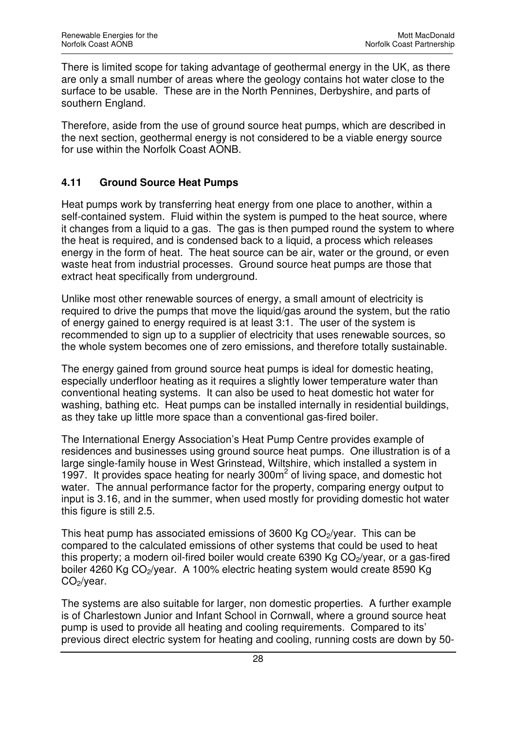There is limited scope for taking advantage of geothermal energy in the UK, as there are only a small number of areas where the geology contains hot water close to the surface to be usable. These are in the North Pennines, Derbyshire, and parts of southern England.

Therefore, aside from the use of ground source heat pumps, which are described in the next section, geothermal energy is not considered to be a viable energy source for use within the Norfolk Coast AONB.

## **4.11 Ground Source Heat Pumps**

Heat pumps work by transferring heat energy from one place to another, within a self-contained system. Fluid within the system is pumped to the heat source, where it changes from a liquid to a gas. The gas is then pumped round the system to where the heat is required, and is condensed back to a liquid, a process which releases energy in the form of heat. The heat source can be air, water or the ground, or even waste heat from industrial processes. Ground source heat pumps are those that extract heat specifically from underground.

Unlike most other renewable sources of energy, a small amount of electricity is required to drive the pumps that move the liquid/gas around the system, but the ratio of energy gained to energy required is at least 3:1. The user of the system is recommended to sign up to a supplier of electricity that uses renewable sources, so the whole system becomes one of zero emissions, and therefore totally sustainable.

The energy gained from ground source heat pumps is ideal for domestic heating, especially underfloor heating as it requires a slightly lower temperature water than conventional heating systems. It can also be used to heat domestic hot water for washing, bathing etc. Heat pumps can be installed internally in residential buildings, as they take up little more space than a conventional gas-fired boiler.

The International Energy Association's Heat Pump Centre provides example of residences and businesses using ground source heat pumps. One illustration is of a large single-family house in West Grinstead, Wiltshire, which installed a system in 1997. It provides space heating for nearly 300m<sup>2</sup> of living space, and domestic hot water. The annual performance factor for the property, comparing energy output to input is 3.16, and in the summer, when used mostly for providing domestic hot water this figure is still 2.5.

This heat pump has associated emissions of 3600 Kg  $CO<sub>2</sub>/year$ . This can be compared to the calculated emissions of other systems that could be used to heat this property; a modern oil-fired boiler would create  $6390$  Kg  $CO<sub>2</sub>/year$ , or a gas-fired boiler 4260 Kg CO<sub>2</sub>/year. A 100% electric heating system would create 8590 Kg  $CO<sub>2</sub>/year.$ 

The systems are also suitable for larger, non domestic properties. A further example is of Charlestown Junior and Infant School in Cornwall, where a ground source heat pump is used to provide all heating and cooling requirements. Compared to its' previous direct electric system for heating and cooling, running costs are down by 50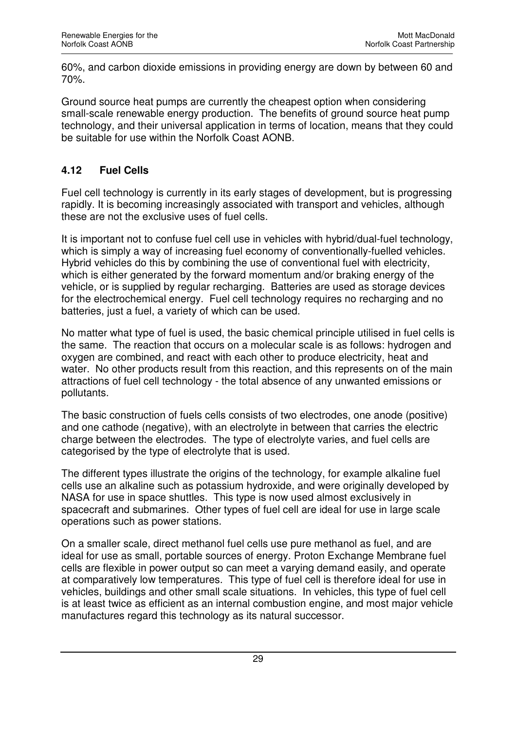60%, and carbon dioxide emissions in providing energy are down by between 60 and 70%.

Ground source heat pumps are currently the cheapest option when considering small-scale renewable energy production. The benefits of ground source heat pump technology, and their universal application in terms of location, means that they could be suitable for use within the Norfolk Coast AONB.

## **4.12 Fuel Cells**

Fuel cell technology is currently in its early stages of development, but is progressing rapidly. It is becoming increasingly associated with transport and vehicles, although these are not the exclusive uses of fuel cells.

It is important not to confuse fuel cell use in vehicles with hybrid/dual-fuel technology, which is simply a way of increasing fuel economy of conventionally-fuelled vehicles. Hybrid vehicles do this by combining the use of conventional fuel with electricity, which is either generated by the forward momentum and/or braking energy of the vehicle, or is supplied by regular recharging. Batteries are used as storage devices for the electrochemical energy. Fuel cell technology requires no recharging and no batteries, just a fuel, a variety of which can be used.

No matter what type of fuel is used, the basic chemical principle utilised in fuel cells is the same. The reaction that occurs on a molecular scale is as follows: hydrogen and oxygen are combined, and react with each other to produce electricity, heat and water. No other products result from this reaction, and this represents on of the main attractions of fuel cell technology - the total absence of any unwanted emissions or pollutants.

The basic construction of fuels cells consists of two electrodes, one anode (positive) and one cathode (negative), with an electrolyte in between that carries the electric charge between the electrodes. The type of electrolyte varies, and fuel cells are categorised by the type of electrolyte that is used.

The different types illustrate the origins of the technology, for example alkaline fuel cells use an alkaline such as potassium hydroxide, and were originally developed by NASA for use in space shuttles. This type is now used almost exclusively in spacecraft and submarines. Other types of fuel cell are ideal for use in large scale operations such as power stations.

On a smaller scale, direct methanol fuel cells use pure methanol as fuel, and are ideal for use as small, portable sources of energy. Proton Exchange Membrane fuel cells are flexible in power output so can meet a varying demand easily, and operate at comparatively low temperatures. This type of fuel cell is therefore ideal for use in vehicles, buildings and other small scale situations. In vehicles, this type of fuel cell is at least twice as efficient as an internal combustion engine, and most major vehicle manufactures regard this technology as its natural successor.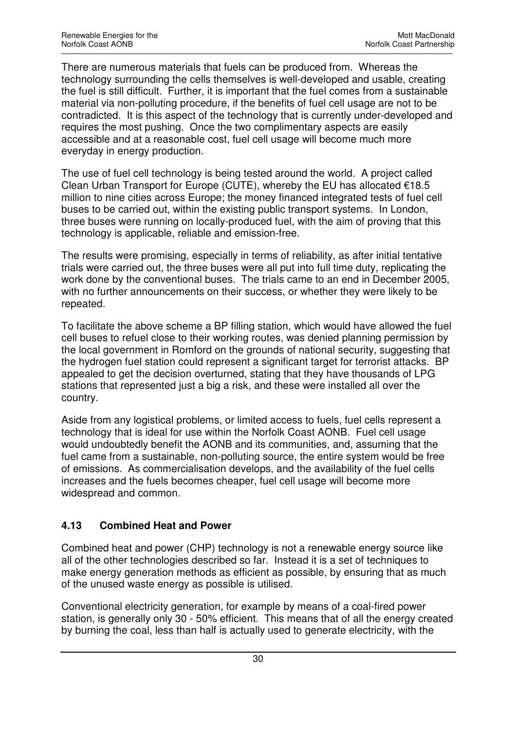There are numerous materials that fuels can be produced from. Whereas the technology surrounding the cells themselves is well-developed and usable, creating the fuel is still difficult. Further, it is important that the fuel comes from a sustainable material via non-polluting procedure, if the benefits of fuel cell usage are not to be contradicted. It is this aspect of the technology that is currently under-developed and requires the most pushing. Once the two complimentary aspects are easily accessible and at a reasonable cost, fuel cell usage will become much more everyday in energy production.

The use of fuel cell technology is being tested around the world. A project called Clean Urban Transport for Europe (CUTE), whereby the EU has allocated €18.5 million to nine cities across Europe; the money financed integrated tests of fuel cell buses to be carried out, within the existing public transport systems. In London, three buses were running on locally-produced fuel, with the aim of proving that this technology is applicable, reliable and emission-free.

The results were promising, especially in terms of reliability, as after initial tentative trials were carried out, the three buses were all put into full time duty, replicating the work done by the conventional buses. The trials came to an end in December 2005, with no further announcements on their success, or whether they were likely to be repeated.

To facilitate the above scheme a BP filling station, which would have allowed the fuel cell buses to refuel close to their working routes, was denied planning permission by the local government in Romford on the grounds of national security, suggesting that the hydrogen fuel station could represent a significant target for terrorist attacks. BP appealed to get the decision overturned, stating that they have thousands of LPG stations that represented just a big a risk, and these were installed all over the country.

Aside from any logistical problems, or limited access to fuels, fuel cells represent a technology that is ideal for use within the Norfolk Coast AONB. Fuel cell usage would undoubtedly benefit the AONB and its communities, and, assuming that the fuel came from a sustainable, non-polluting source, the entire system would be free of emissions. As commercialisation develops, and the availability of the fuel cells increases and the fuels becomes cheaper, fuel cell usage will become more widespread and common.

## **4.13 Combined Heat and Power**

Combined heat and power (CHP) technology is not a renewable energy source like all of the other technologies described so far. Instead it is a set of techniques to make energy generation methods as efficient as possible, by ensuring that as much of the unused waste energy as possible is utilised.

Conventional electricity generation, for example by means of a coal-fired power station, is generally only 30 - 50% efficient. This means that of all the energy created by burning the coal, less than half is actually used to generate electricity, with the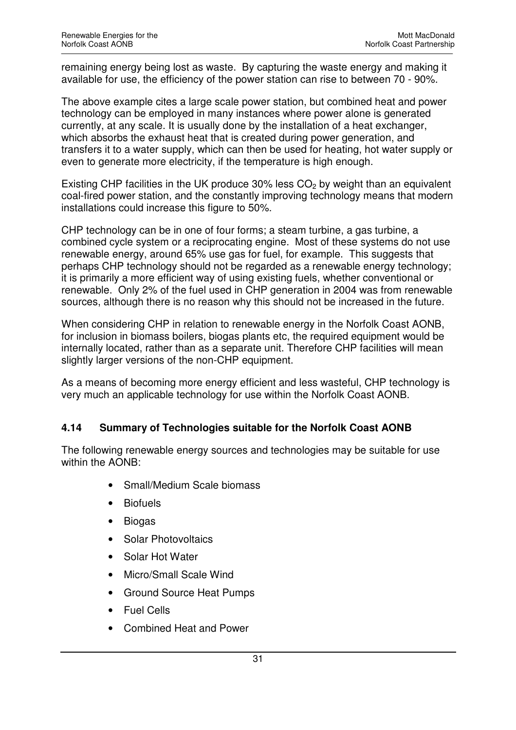remaining energy being lost as waste. By capturing the waste energy and making it available for use, the efficiency of the power station can rise to between 70 - 90%.

The above example cites a large scale power station, but combined heat and power technology can be employed in many instances where power alone is generated currently, at any scale. It is usually done by the installation of a heat exchanger, which absorbs the exhaust heat that is created during power generation, and transfers it to a water supply, which can then be used for heating, hot water supply or even to generate more electricity, if the temperature is high enough.

Existing CHP facilities in the UK produce 30% less  $CO<sub>2</sub>$  by weight than an equivalent coal-fired power station, and the constantly improving technology means that modern installations could increase this figure to 50%.

CHP technology can be in one of four forms; a steam turbine, a gas turbine, a combined cycle system or a reciprocating engine. Most of these systems do not use renewable energy, around 65% use gas for fuel, for example. This suggests that perhaps CHP technology should not be regarded as a renewable energy technology; it is primarily a more efficient way of using existing fuels, whether conventional or renewable. Only 2% of the fuel used in CHP generation in 2004 was from renewable sources, although there is no reason why this should not be increased in the future.

When considering CHP in relation to renewable energy in the Norfolk Coast AONB, for inclusion in biomass boilers, biogas plants etc, the required equipment would be internally located, rather than as a separate unit. Therefore CHP facilities will mean slightly larger versions of the non-CHP equipment.

As a means of becoming more energy efficient and less wasteful, CHP technology is very much an applicable technology for use within the Norfolk Coast AONB.

#### **4.14 Summary of Technologies suitable for the Norfolk Coast AONB**

The following renewable energy sources and technologies may be suitable for use within the AONB:

- Small/Medium Scale biomass
- Biofuels
- Biogas
- Solar Photovoltaics
- Solar Hot Water
- Micro/Small Scale Wind
- Ground Source Heat Pumps
- Fuel Cells
- Combined Heat and Power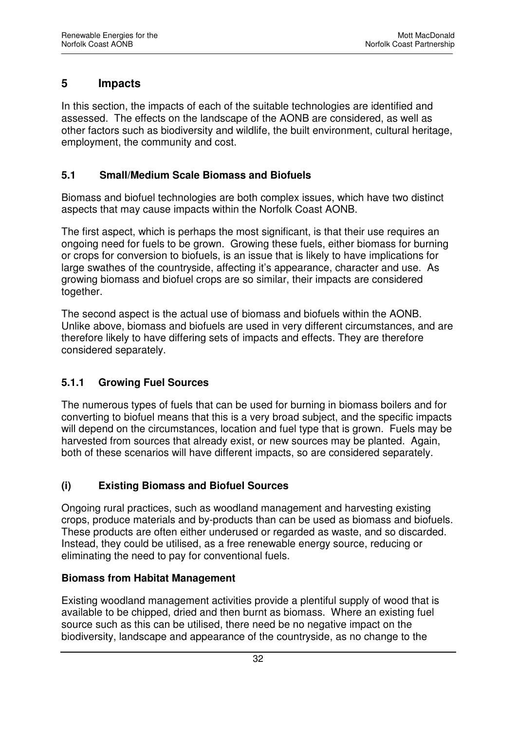## **5 Impacts**

In this section, the impacts of each of the suitable technologies are identified and assessed. The effects on the landscape of the AONB are considered, as well as other factors such as biodiversity and wildlife, the built environment, cultural heritage, employment, the community and cost.

#### **5.1 Small/Medium Scale Biomass and Biofuels**

Biomass and biofuel technologies are both complex issues, which have two distinct aspects that may cause impacts within the Norfolk Coast AONB.

The first aspect, which is perhaps the most significant, is that their use requires an ongoing need for fuels to be grown. Growing these fuels, either biomass for burning or crops for conversion to biofuels, is an issue that is likely to have implications for large swathes of the countryside, affecting it's appearance, character and use. As growing biomass and biofuel crops are so similar, their impacts are considered together.

The second aspect is the actual use of biomass and biofuels within the AONB. Unlike above, biomass and biofuels are used in very different circumstances, and are therefore likely to have differing sets of impacts and effects. They are therefore considered separately.

## **5.1.1 Growing Fuel Sources**

The numerous types of fuels that can be used for burning in biomass boilers and for converting to biofuel means that this is a very broad subject, and the specific impacts will depend on the circumstances, location and fuel type that is grown. Fuels may be harvested from sources that already exist, or new sources may be planted. Again, both of these scenarios will have different impacts, so are considered separately.

## **(i) Existing Biomass and Biofuel Sources**

Ongoing rural practices, such as woodland management and harvesting existing crops, produce materials and by-products than can be used as biomass and biofuels. These products are often either underused or regarded as waste, and so discarded. Instead, they could be utilised, as a free renewable energy source, reducing or eliminating the need to pay for conventional fuels.

#### **Biomass from Habitat Management**

Existing woodland management activities provide a plentiful supply of wood that is available to be chipped, dried and then burnt as biomass. Where an existing fuel source such as this can be utilised, there need be no negative impact on the biodiversity, landscape and appearance of the countryside, as no change to the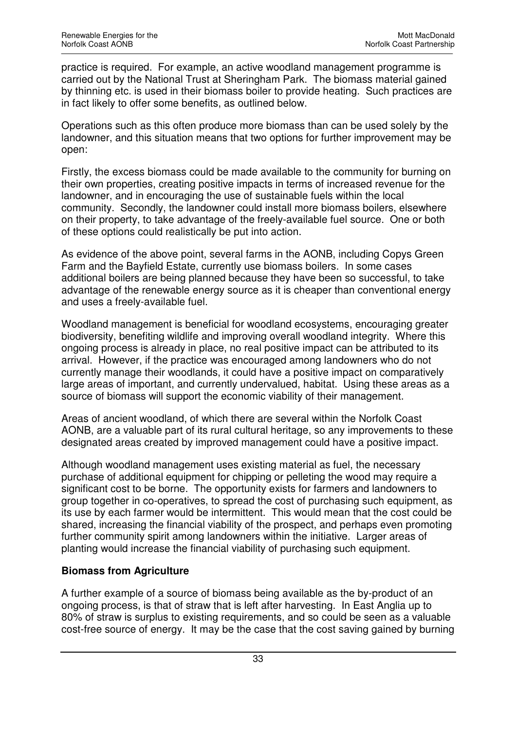practice is required. For example, an active woodland management programme is carried out by the National Trust at Sheringham Park. The biomass material gained by thinning etc. is used in their biomass boiler to provide heating. Such practices are in fact likely to offer some benefits, as outlined below.

Operations such as this often produce more biomass than can be used solely by the landowner, and this situation means that two options for further improvement may be open:

Firstly, the excess biomass could be made available to the community for burning on their own properties, creating positive impacts in terms of increased revenue for the landowner, and in encouraging the use of sustainable fuels within the local community. Secondly, the landowner could install more biomass boilers, elsewhere on their property, to take advantage of the freely-available fuel source. One or both of these options could realistically be put into action.

As evidence of the above point, several farms in the AONB, including Copys Green Farm and the Bayfield Estate, currently use biomass boilers. In some cases additional boilers are being planned because they have been so successful, to take advantage of the renewable energy source as it is cheaper than conventional energy and uses a freely-available fuel.

Woodland management is beneficial for woodland ecosystems, encouraging greater biodiversity, benefiting wildlife and improving overall woodland integrity. Where this ongoing process is already in place, no real positive impact can be attributed to its arrival. However, if the practice was encouraged among landowners who do not currently manage their woodlands, it could have a positive impact on comparatively large areas of important, and currently undervalued, habitat. Using these areas as a source of biomass will support the economic viability of their management.

Areas of ancient woodland, of which there are several within the Norfolk Coast AONB, are a valuable part of its rural cultural heritage, so any improvements to these designated areas created by improved management could have a positive impact.

Although woodland management uses existing material as fuel, the necessary purchase of additional equipment for chipping or pelleting the wood may require a significant cost to be borne. The opportunity exists for farmers and landowners to group together in co-operatives, to spread the cost of purchasing such equipment, as its use by each farmer would be intermittent. This would mean that the cost could be shared, increasing the financial viability of the prospect, and perhaps even promoting further community spirit among landowners within the initiative. Larger areas of planting would increase the financial viability of purchasing such equipment.

## **Biomass from Agriculture**

A further example of a source of biomass being available as the by-product of an ongoing process, is that of straw that is left after harvesting. In East Anglia up to 80% of straw is surplus to existing requirements, and so could be seen as a valuable cost-free source of energy. It may be the case that the cost saving gained by burning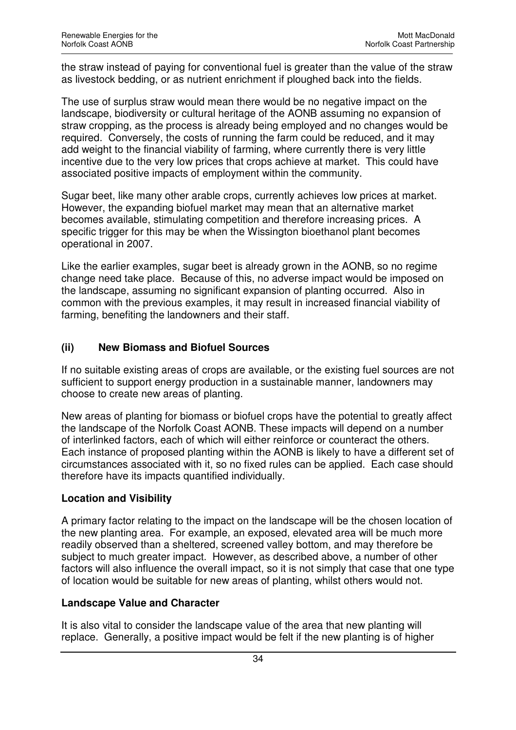the straw instead of paying for conventional fuel is greater than the value of the straw as livestock bedding, or as nutrient enrichment if ploughed back into the fields.

The use of surplus straw would mean there would be no negative impact on the landscape, biodiversity or cultural heritage of the AONB assuming no expansion of straw cropping, as the process is already being employed and no changes would be required. Conversely, the costs of running the farm could be reduced, and it may add weight to the financial viability of farming, where currently there is very little incentive due to the very low prices that crops achieve at market. This could have associated positive impacts of employment within the community.

Sugar beet, like many other arable crops, currently achieves low prices at market. However, the expanding biofuel market may mean that an alternative market becomes available, stimulating competition and therefore increasing prices. A specific trigger for this may be when the Wissington bioethanol plant becomes operational in 2007.

Like the earlier examples, sugar beet is already grown in the AONB, so no regime change need take place. Because of this, no adverse impact would be imposed on the landscape, assuming no significant expansion of planting occurred. Also in common with the previous examples, it may result in increased financial viability of farming, benefiting the landowners and their staff.

## **(ii) New Biomass and Biofuel Sources**

If no suitable existing areas of crops are available, or the existing fuel sources are not sufficient to support energy production in a sustainable manner, landowners may choose to create new areas of planting.

New areas of planting for biomass or biofuel crops have the potential to greatly affect the landscape of the Norfolk Coast AONB. These impacts will depend on a number of interlinked factors, each of which will either reinforce or counteract the others. Each instance of proposed planting within the AONB is likely to have a different set of circumstances associated with it, so no fixed rules can be applied. Each case should therefore have its impacts quantified individually.

#### **Location and Visibility**

A primary factor relating to the impact on the landscape will be the chosen location of the new planting area. For example, an exposed, elevated area will be much more readily observed than a sheltered, screened valley bottom, and may therefore be subject to much greater impact. However, as described above, a number of other factors will also influence the overall impact, so it is not simply that case that one type of location would be suitable for new areas of planting, whilst others would not.

#### **Landscape Value and Character**

It is also vital to consider the landscape value of the area that new planting will replace. Generally, a positive impact would be felt if the new planting is of higher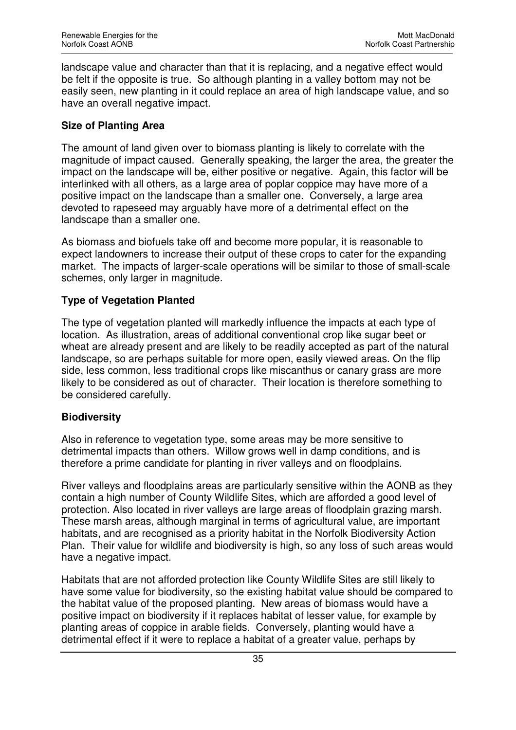landscape value and character than that it is replacing, and a negative effect would be felt if the opposite is true. So although planting in a valley bottom may not be easily seen, new planting in it could replace an area of high landscape value, and so have an overall negative impact.

#### **Size of Planting Area**

The amount of land given over to biomass planting is likely to correlate with the magnitude of impact caused. Generally speaking, the larger the area, the greater the impact on the landscape will be, either positive or negative. Again, this factor will be interlinked with all others, as a large area of poplar coppice may have more of a positive impact on the landscape than a smaller one. Conversely, a large area devoted to rapeseed may arguably have more of a detrimental effect on the landscape than a smaller one.

As biomass and biofuels take off and become more popular, it is reasonable to expect landowners to increase their output of these crops to cater for the expanding market. The impacts of larger-scale operations will be similar to those of small-scale schemes, only larger in magnitude.

#### **Type of Vegetation Planted**

The type of vegetation planted will markedly influence the impacts at each type of location. As illustration, areas of additional conventional crop like sugar beet or wheat are already present and are likely to be readily accepted as part of the natural landscape, so are perhaps suitable for more open, easily viewed areas. On the flip side, less common, less traditional crops like miscanthus or canary grass are more likely to be considered as out of character. Their location is therefore something to be considered carefully.

#### **Biodiversity**

Also in reference to vegetation type, some areas may be more sensitive to detrimental impacts than others. Willow grows well in damp conditions, and is therefore a prime candidate for planting in river valleys and on floodplains.

River valleys and floodplains areas are particularly sensitive within the AONB as they contain a high number of County Wildlife Sites, which are afforded a good level of protection. Also located in river valleys are large areas of floodplain grazing marsh. These marsh areas, although marginal in terms of agricultural value, are important habitats, and are recognised as a priority habitat in the Norfolk Biodiversity Action Plan. Their value for wildlife and biodiversity is high, so any loss of such areas would have a negative impact.

Habitats that are not afforded protection like County Wildlife Sites are still likely to have some value for biodiversity, so the existing habitat value should be compared to the habitat value of the proposed planting. New areas of biomass would have a positive impact on biodiversity if it replaces habitat of lesser value, for example by planting areas of coppice in arable fields. Conversely, planting would have a detrimental effect if it were to replace a habitat of a greater value, perhaps by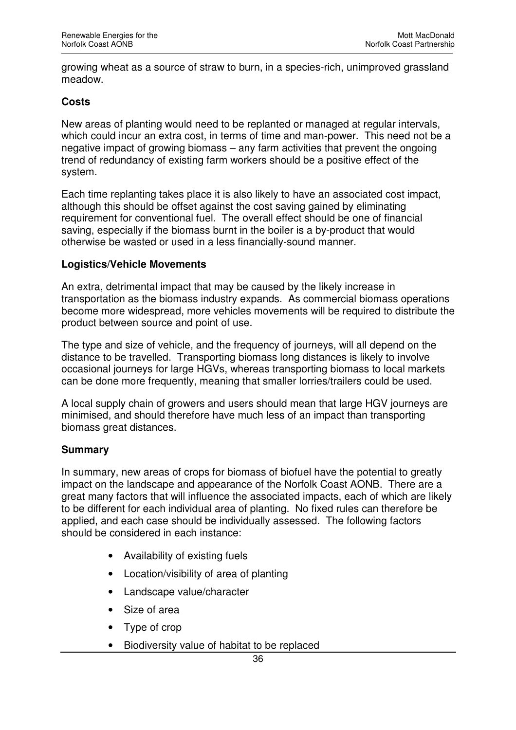growing wheat as a source of straw to burn, in a species-rich, unimproved grassland meadow.

#### **Costs**

New areas of planting would need to be replanted or managed at regular intervals, which could incur an extra cost, in terms of time and man-power. This need not be a negative impact of growing biomass – any farm activities that prevent the ongoing trend of redundancy of existing farm workers should be a positive effect of the system.

Each time replanting takes place it is also likely to have an associated cost impact, although this should be offset against the cost saving gained by eliminating requirement for conventional fuel. The overall effect should be one of financial saving, especially if the biomass burnt in the boiler is a by-product that would otherwise be wasted or used in a less financially-sound manner.

#### **Logistics/Vehicle Movements**

An extra, detrimental impact that may be caused by the likely increase in transportation as the biomass industry expands. As commercial biomass operations become more widespread, more vehicles movements will be required to distribute the product between source and point of use.

The type and size of vehicle, and the frequency of journeys, will all depend on the distance to be travelled. Transporting biomass long distances is likely to involve occasional journeys for large HGVs, whereas transporting biomass to local markets can be done more frequently, meaning that smaller lorries/trailers could be used.

A local supply chain of growers and users should mean that large HGV journeys are minimised, and should therefore have much less of an impact than transporting biomass great distances.

#### **Summary**

In summary, new areas of crops for biomass of biofuel have the potential to greatly impact on the landscape and appearance of the Norfolk Coast AONB. There are a great many factors that will influence the associated impacts, each of which are likely to be different for each individual area of planting. No fixed rules can therefore be applied, and each case should be individually assessed. The following factors should be considered in each instance:

- Availability of existing fuels
- Location/visibility of area of planting
- Landscape value/character
- Size of area
- Type of crop
- Biodiversity value of habitat to be replaced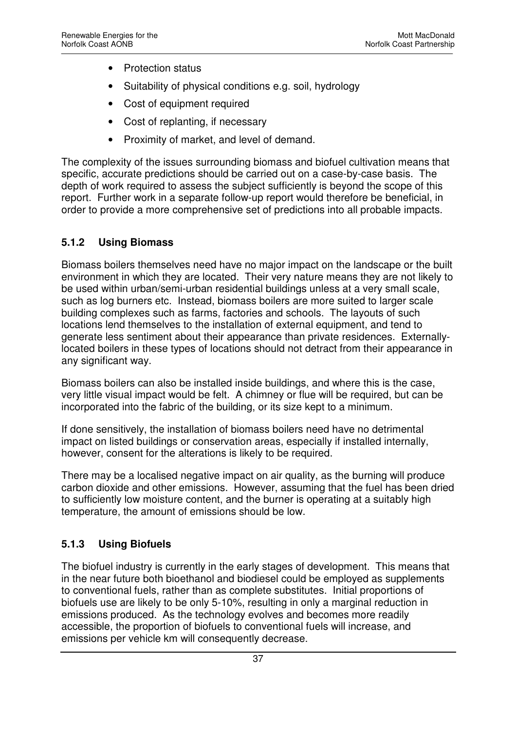- Protection status
- Suitability of physical conditions e.g. soil, hydrology
- Cost of equipment required
- Cost of replanting, if necessary
- Proximity of market, and level of demand.

The complexity of the issues surrounding biomass and biofuel cultivation means that specific, accurate predictions should be carried out on a case-by-case basis. The depth of work required to assess the subject sufficiently is beyond the scope of this report. Further work in a separate follow-up report would therefore be beneficial, in order to provide a more comprehensive set of predictions into all probable impacts.

## **5.1.2 Using Biomass**

Biomass boilers themselves need have no major impact on the landscape or the built environment in which they are located. Their very nature means they are not likely to be used within urban/semi-urban residential buildings unless at a very small scale, such as log burners etc. Instead, biomass boilers are more suited to larger scale building complexes such as farms, factories and schools. The layouts of such locations lend themselves to the installation of external equipment, and tend to generate less sentiment about their appearance than private residences. Externallylocated boilers in these types of locations should not detract from their appearance in any significant way.

Biomass boilers can also be installed inside buildings, and where this is the case, very little visual impact would be felt. A chimney or flue will be required, but can be incorporated into the fabric of the building, or its size kept to a minimum.

If done sensitively, the installation of biomass boilers need have no detrimental impact on listed buildings or conservation areas, especially if installed internally, however, consent for the alterations is likely to be required.

There may be a localised negative impact on air quality, as the burning will produce carbon dioxide and other emissions. However, assuming that the fuel has been dried to sufficiently low moisture content, and the burner is operating at a suitably high temperature, the amount of emissions should be low.

## **5.1.3 Using Biofuels**

The biofuel industry is currently in the early stages of development. This means that in the near future both bioethanol and biodiesel could be employed as supplements to conventional fuels, rather than as complete substitutes. Initial proportions of biofuels use are likely to be only 5-10%, resulting in only a marginal reduction in emissions produced. As the technology evolves and becomes more readily accessible, the proportion of biofuels to conventional fuels will increase, and emissions per vehicle km will consequently decrease.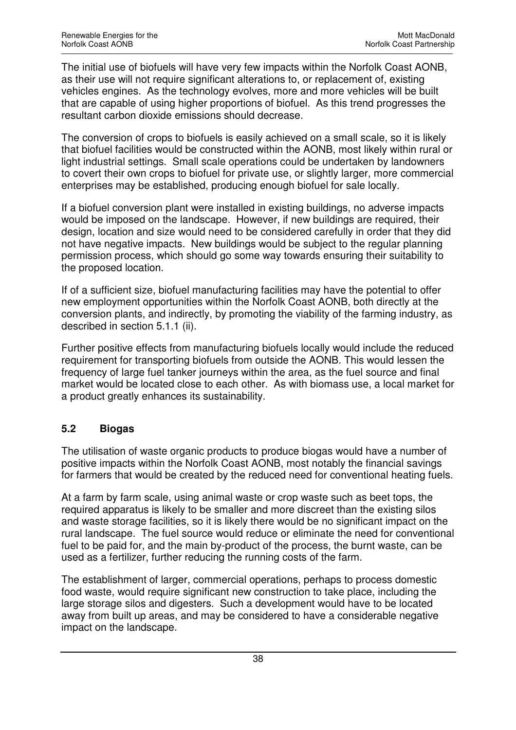The initial use of biofuels will have very few impacts within the Norfolk Coast AONB, as their use will not require significant alterations to, or replacement of, existing vehicles engines. As the technology evolves, more and more vehicles will be built that are capable of using higher proportions of biofuel. As this trend progresses the resultant carbon dioxide emissions should decrease.

The conversion of crops to biofuels is easily achieved on a small scale, so it is likely that biofuel facilities would be constructed within the AONB, most likely within rural or light industrial settings. Small scale operations could be undertaken by landowners to covert their own crops to biofuel for private use, or slightly larger, more commercial enterprises may be established, producing enough biofuel for sale locally.

If a biofuel conversion plant were installed in existing buildings, no adverse impacts would be imposed on the landscape. However, if new buildings are required, their design, location and size would need to be considered carefully in order that they did not have negative impacts. New buildings would be subject to the regular planning permission process, which should go some way towards ensuring their suitability to the proposed location.

If of a sufficient size, biofuel manufacturing facilities may have the potential to offer new employment opportunities within the Norfolk Coast AONB, both directly at the conversion plants, and indirectly, by promoting the viability of the farming industry, as described in section 5.1.1 (ii).

Further positive effects from manufacturing biofuels locally would include the reduced requirement for transporting biofuels from outside the AONB. This would lessen the frequency of large fuel tanker journeys within the area, as the fuel source and final market would be located close to each other. As with biomass use, a local market for a product greatly enhances its sustainability.

## **5.2 Biogas**

The utilisation of waste organic products to produce biogas would have a number of positive impacts within the Norfolk Coast AONB, most notably the financial savings for farmers that would be created by the reduced need for conventional heating fuels.

At a farm by farm scale, using animal waste or crop waste such as beet tops, the required apparatus is likely to be smaller and more discreet than the existing silos and waste storage facilities, so it is likely there would be no significant impact on the rural landscape. The fuel source would reduce or eliminate the need for conventional fuel to be paid for, and the main by-product of the process, the burnt waste, can be used as a fertilizer, further reducing the running costs of the farm.

The establishment of larger, commercial operations, perhaps to process domestic food waste, would require significant new construction to take place, including the large storage silos and digesters. Such a development would have to be located away from built up areas, and may be considered to have a considerable negative impact on the landscape.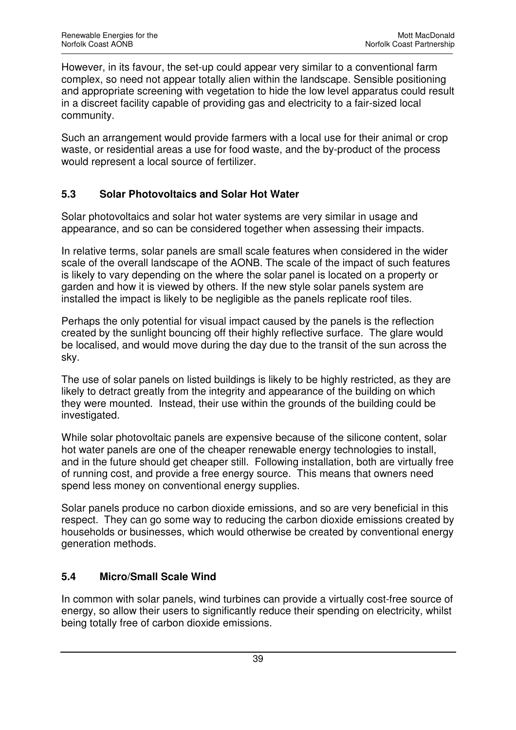However, in its favour, the set-up could appear very similar to a conventional farm complex, so need not appear totally alien within the landscape. Sensible positioning and appropriate screening with vegetation to hide the low level apparatus could result in a discreet facility capable of providing gas and electricity to a fair-sized local community.

Such an arrangement would provide farmers with a local use for their animal or crop waste, or residential areas a use for food waste, and the by-product of the process would represent a local source of fertilizer.

## **5.3 Solar Photovoltaics and Solar Hot Water**

Solar photovoltaics and solar hot water systems are very similar in usage and appearance, and so can be considered together when assessing their impacts.

In relative terms, solar panels are small scale features when considered in the wider scale of the overall landscape of the AONB. The scale of the impact of such features is likely to vary depending on the where the solar panel is located on a property or garden and how it is viewed by others. If the new style solar panels system are installed the impact is likely to be negligible as the panels replicate roof tiles.

Perhaps the only potential for visual impact caused by the panels is the reflection created by the sunlight bouncing off their highly reflective surface. The glare would be localised, and would move during the day due to the transit of the sun across the sky.

The use of solar panels on listed buildings is likely to be highly restricted, as they are likely to detract greatly from the integrity and appearance of the building on which they were mounted. Instead, their use within the grounds of the building could be investigated.

While solar photovoltaic panels are expensive because of the silicone content, solar hot water panels are one of the cheaper renewable energy technologies to install, and in the future should get cheaper still. Following installation, both are virtually free of running cost, and provide a free energy source. This means that owners need spend less money on conventional energy supplies.

Solar panels produce no carbon dioxide emissions, and so are very beneficial in this respect. They can go some way to reducing the carbon dioxide emissions created by households or businesses, which would otherwise be created by conventional energy generation methods.

## **5.4 Micro/Small Scale Wind**

In common with solar panels, wind turbines can provide a virtually cost-free source of energy, so allow their users to significantly reduce their spending on electricity, whilst being totally free of carbon dioxide emissions.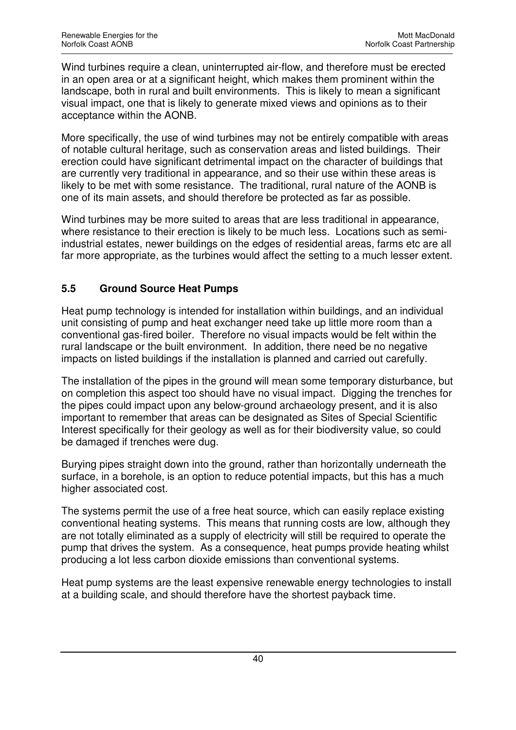Wind turbines require a clean, uninterrupted air-flow, and therefore must be erected in an open area or at a significant height, which makes them prominent within the landscape, both in rural and built environments. This is likely to mean a significant visual impact, one that is likely to generate mixed views and opinions as to their acceptance within the AONB.

More specifically, the use of wind turbines may not be entirely compatible with areas of notable cultural heritage, such as conservation areas and listed buildings. Their erection could have significant detrimental impact on the character of buildings that are currently very traditional in appearance, and so their use within these areas is likely to be met with some resistance. The traditional, rural nature of the AONB is one of its main assets, and should therefore be protected as far as possible.

Wind turbines may be more suited to areas that are less traditional in appearance, where resistance to their erection is likely to be much less. Locations such as semiindustrial estates, newer buildings on the edges of residential areas, farms etc are all far more appropriate, as the turbines would affect the setting to a much lesser extent.

## **5.5 Ground Source Heat Pumps**

Heat pump technology is intended for installation within buildings, and an individual unit consisting of pump and heat exchanger need take up little more room than a conventional gas-fired boiler. Therefore no visual impacts would be felt within the rural landscape or the built environment. In addition, there need be no negative impacts on listed buildings if the installation is planned and carried out carefully.

The installation of the pipes in the ground will mean some temporary disturbance, but on completion this aspect too should have no visual impact. Digging the trenches for the pipes could impact upon any below-ground archaeology present, and it is also important to remember that areas can be designated as Sites of Special Scientific Interest specifically for their geology as well as for their biodiversity value, so could be damaged if trenches were dug.

Burying pipes straight down into the ground, rather than horizontally underneath the surface, in a borehole, is an option to reduce potential impacts, but this has a much higher associated cost.

The systems permit the use of a free heat source, which can easily replace existing conventional heating systems. This means that running costs are low, although they are not totally eliminated as a supply of electricity will still be required to operate the pump that drives the system. As a consequence, heat pumps provide heating whilst producing a lot less carbon dioxide emissions than conventional systems.

Heat pump systems are the least expensive renewable energy technologies to install at a building scale, and should therefore have the shortest payback time.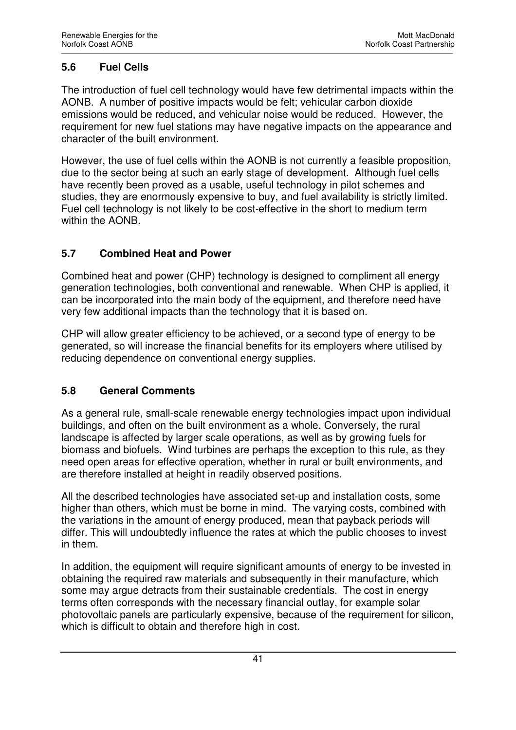## **5.6 Fuel Cells**

The introduction of fuel cell technology would have few detrimental impacts within the AONB. A number of positive impacts would be felt; vehicular carbon dioxide emissions would be reduced, and vehicular noise would be reduced. However, the requirement for new fuel stations may have negative impacts on the appearance and character of the built environment.

However, the use of fuel cells within the AONB is not currently a feasible proposition, due to the sector being at such an early stage of development. Although fuel cells have recently been proved as a usable, useful technology in pilot schemes and studies, they are enormously expensive to buy, and fuel availability is strictly limited. Fuel cell technology is not likely to be cost-effective in the short to medium term within the AONB.

## **5.7 Combined Heat and Power**

Combined heat and power (CHP) technology is designed to compliment all energy generation technologies, both conventional and renewable. When CHP is applied, it can be incorporated into the main body of the equipment, and therefore need have very few additional impacts than the technology that it is based on.

CHP will allow greater efficiency to be achieved, or a second type of energy to be generated, so will increase the financial benefits for its employers where utilised by reducing dependence on conventional energy supplies.

## **5.8 General Comments**

As a general rule, small-scale renewable energy technologies impact upon individual buildings, and often on the built environment as a whole. Conversely, the rural landscape is affected by larger scale operations, as well as by growing fuels for biomass and biofuels. Wind turbines are perhaps the exception to this rule, as they need open areas for effective operation, whether in rural or built environments, and are therefore installed at height in readily observed positions.

All the described technologies have associated set-up and installation costs, some higher than others, which must be borne in mind. The varying costs, combined with the variations in the amount of energy produced, mean that payback periods will differ. This will undoubtedly influence the rates at which the public chooses to invest in them.

In addition, the equipment will require significant amounts of energy to be invested in obtaining the required raw materials and subsequently in their manufacture, which some may argue detracts from their sustainable credentials. The cost in energy terms often corresponds with the necessary financial outlay, for example solar photovoltaic panels are particularly expensive, because of the requirement for silicon, which is difficult to obtain and therefore high in cost.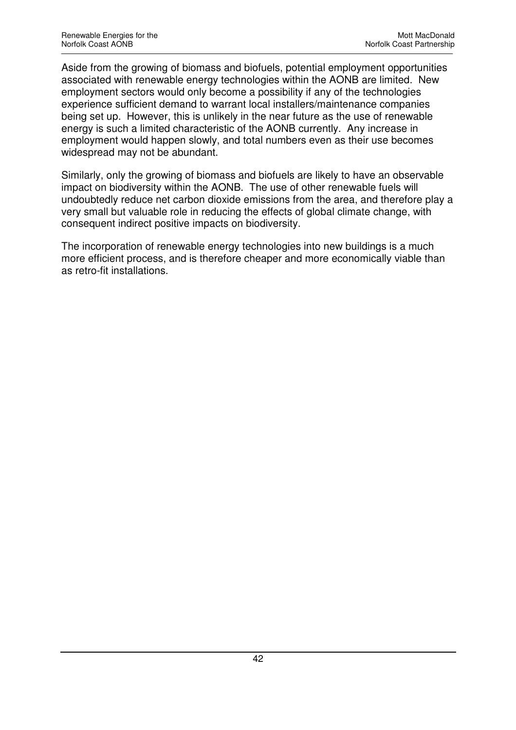Aside from the growing of biomass and biofuels, potential employment opportunities associated with renewable energy technologies within the AONB are limited. New employment sectors would only become a possibility if any of the technologies experience sufficient demand to warrant local installers/maintenance companies being set up. However, this is unlikely in the near future as the use of renewable energy is such a limited characteristic of the AONB currently. Any increase in employment would happen slowly, and total numbers even as their use becomes widespread may not be abundant.

Similarly, only the growing of biomass and biofuels are likely to have an observable impact on biodiversity within the AONB. The use of other renewable fuels will undoubtedly reduce net carbon dioxide emissions from the area, and therefore play a very small but valuable role in reducing the effects of global climate change, with consequent indirect positive impacts on biodiversity.

The incorporation of renewable energy technologies into new buildings is a much more efficient process, and is therefore cheaper and more economically viable than as retro-fit installations.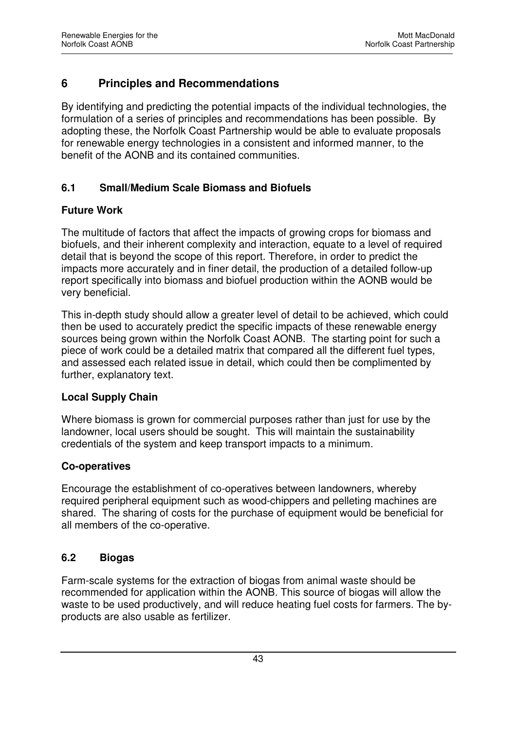# **6 Principles and Recommendations**

By identifying and predicting the potential impacts of the individual technologies, the formulation of a series of principles and recommendations has been possible. By adopting these, the Norfolk Coast Partnership would be able to evaluate proposals for renewable energy technologies in a consistent and informed manner, to the benefit of the AONB and its contained communities.

#### **6.1 Small/Medium Scale Biomass and Biofuels**

#### **Future Work**

The multitude of factors that affect the impacts of growing crops for biomass and biofuels, and their inherent complexity and interaction, equate to a level of required detail that is beyond the scope of this report. Therefore, in order to predict the impacts more accurately and in finer detail, the production of a detailed follow-up report specifically into biomass and biofuel production within the AONB would be very beneficial.

This in-depth study should allow a greater level of detail to be achieved, which could then be used to accurately predict the specific impacts of these renewable energy sources being grown within the Norfolk Coast AONB. The starting point for such a piece of work could be a detailed matrix that compared all the different fuel types, and assessed each related issue in detail, which could then be complimented by further, explanatory text.

#### **Local Supply Chain**

Where biomass is grown for commercial purposes rather than just for use by the landowner, local users should be sought. This will maintain the sustainability credentials of the system and keep transport impacts to a minimum.

#### **Co-operatives**

Encourage the establishment of co-operatives between landowners, whereby required peripheral equipment such as wood-chippers and pelleting machines are shared. The sharing of costs for the purchase of equipment would be beneficial for all members of the co-operative.

## **6.2 Biogas**

Farm-scale systems for the extraction of biogas from animal waste should be recommended for application within the AONB. This source of biogas will allow the waste to be used productively, and will reduce heating fuel costs for farmers. The byproducts are also usable as fertilizer.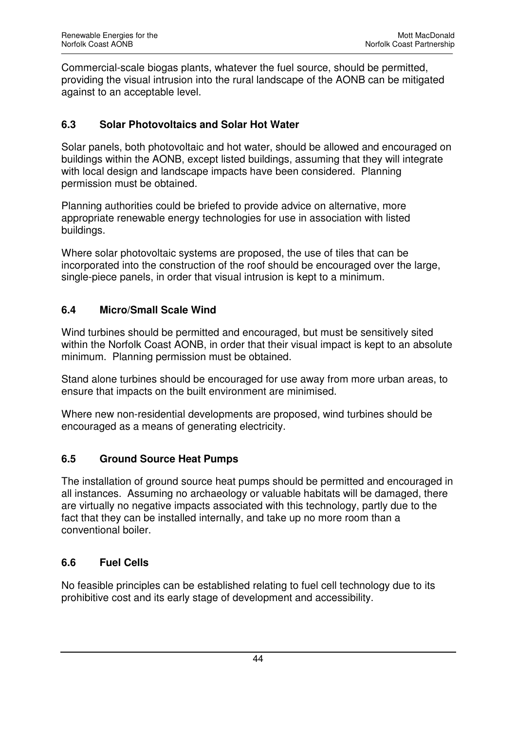Commercial-scale biogas plants, whatever the fuel source, should be permitted, providing the visual intrusion into the rural landscape of the AONB can be mitigated against to an acceptable level.

## **6.3 Solar Photovoltaics and Solar Hot Water**

Solar panels, both photovoltaic and hot water, should be allowed and encouraged on buildings within the AONB, except listed buildings, assuming that they will integrate with local design and landscape impacts have been considered. Planning permission must be obtained.

Planning authorities could be briefed to provide advice on alternative, more appropriate renewable energy technologies for use in association with listed buildings.

Where solar photovoltaic systems are proposed, the use of tiles that can be incorporated into the construction of the roof should be encouraged over the large, single-piece panels, in order that visual intrusion is kept to a minimum.

#### **6.4 Micro/Small Scale Wind**

Wind turbines should be permitted and encouraged, but must be sensitively sited within the Norfolk Coast AONB, in order that their visual impact is kept to an absolute minimum. Planning permission must be obtained.

Stand alone turbines should be encouraged for use away from more urban areas, to ensure that impacts on the built environment are minimised.

Where new non-residential developments are proposed, wind turbines should be encouraged as a means of generating electricity.

## **6.5 Ground Source Heat Pumps**

The installation of ground source heat pumps should be permitted and encouraged in all instances. Assuming no archaeology or valuable habitats will be damaged, there are virtually no negative impacts associated with this technology, partly due to the fact that they can be installed internally, and take up no more room than a conventional boiler.

## **6.6 Fuel Cells**

No feasible principles can be established relating to fuel cell technology due to its prohibitive cost and its early stage of development and accessibility.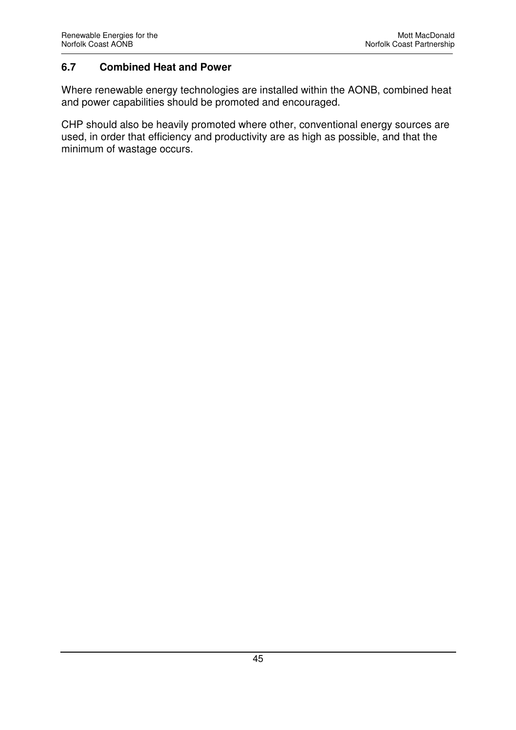#### **6.7 Combined Heat and Power**

Where renewable energy technologies are installed within the AONB, combined heat and power capabilities should be promoted and encouraged.

CHP should also be heavily promoted where other, conventional energy sources are used, in order that efficiency and productivity are as high as possible, and that the minimum of wastage occurs.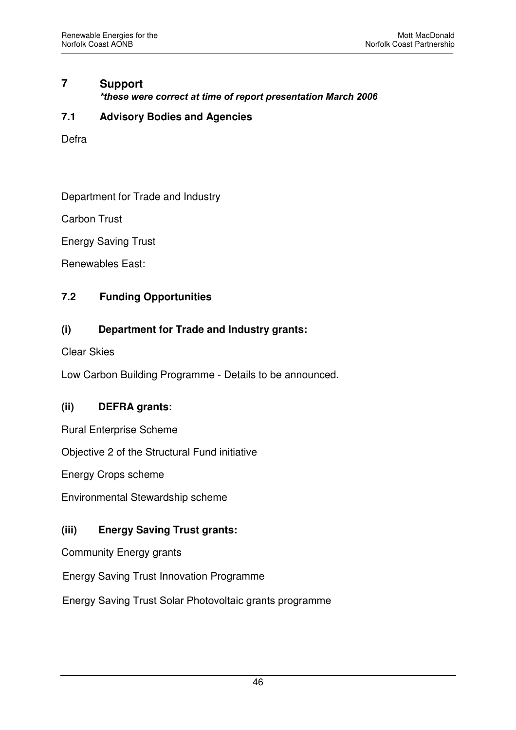# **7 Support**

*\*these were correct at time of report presentation March 2006*

#### **7.1 Advisory Bodies and Agencies**

Defra

Department for Trade and Industry

Carbon Trust

Energy Saving Trust

Renewables East:

## **7.2 Funding Opportunities**

## **(i) Department for Trade and Industry grants:**

Clear Skies

Low Carbon Building Programme - Details to be announced.

#### **(ii) DEFRA grants:**

Rural Enterprise Scheme

Objective 2 of the Structural Fund initiative

Energy Crops scheme

Environmental Stewardship scheme

#### **(iii) Energy Saving Trust grants:**

Community Energy grants

Energy Saving Trust Innovation Programme

Energy Saving Trust Solar Photovoltaic grants programme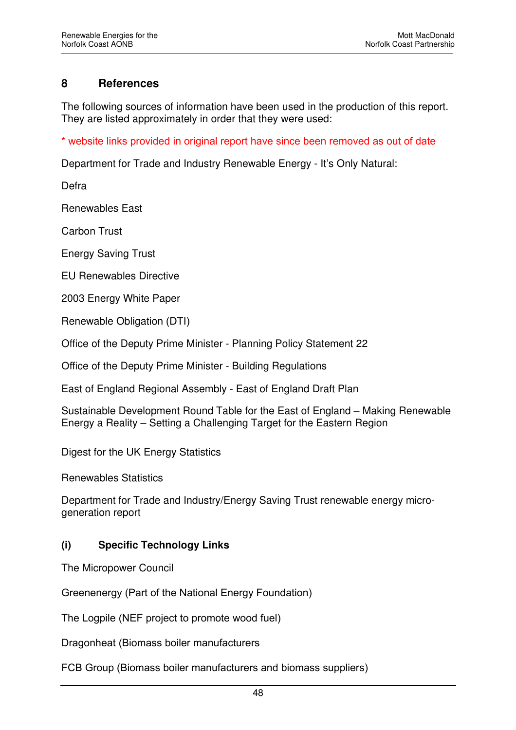## **8 References**

The following sources of information have been used in the production of this report. They are listed approximately in order that they were used:

\* website links provided in original report have since been removed as out of date

Department for Trade and Industry Renewable Energy - It's Only Natural:

Defra

Renewables East

Carbon Trust

Energy Saving Trust

EU Renewables Directive

2003 Energy White Paper

Renewable Obligation (DTI)

Office of the Deputy Prime Minister - Planning Policy Statement 22

Office of the Deputy Prime Minister - Building Regulations

East of England Regional Assembly - East of England Draft Plan

Sustainable Development Round Table for the East of England – Making Renewable Energy a Reality – Setting a Challenging Target for the Eastern Region

Digest for the UK Energy Statistics

Renewables Statistics

Department for Trade and Industry/Energy Saving Trust renewable energy microgeneration report

#### **(i) Specific Technology Links**

The Micropower Council

Greenenergy (Part of the National Energy Foundation)

The Logpile (NEF project to promote wood fuel)

Dragonheat (Biomass boiler manufacturers

FCB Group (Biomass boiler manufacturers and biomass suppliers)